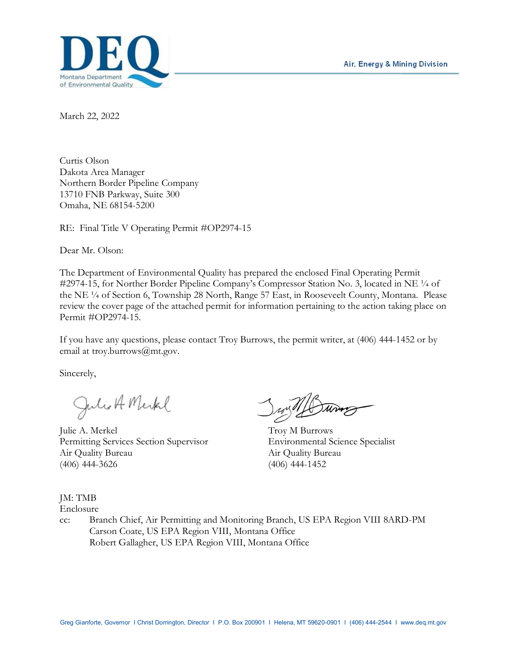

March 22, 2022

Curtis Olson Dakota Area Manager Northern Border Pipeline Company 13710 FNB Parkway, Suite 300 Omaha, NE 68154-5200

RE: Final Title V Operating Permit #OP2974-15

Dear Mr. Olson:

The Department of Environmental Quality has prepared the enclosed Final Operating Permit #2974-15, for Norther Border Pipeline Company's Compressor Station No. 3, located in NE  $\frac{1}{4}$  of the NE ¼ of Section 6, Township 28 North, Range 57 East, in Rooseveelt County, Montana. Please review the cover page of the attached permit for information pertaining to the action taking place on Permit #OP2974-15.

If you have any questions, please contact Troy Burrows, the permit writer, at (406) 444-1452 or by email at troy.burrows@mt.gov.

Sincerely,

Julio A Merkel

Julie A. Merkel Troy M Burrows Permitting Services Section Supervisor Environmental Science Specialist Air Quality Bureau Air Quality Bureau (406) 444-3626 (406) 444-1452

JM: TMB

Enclosure

cc: Branch Chief, Air Permitting and Monitoring Branch, US EPA Region VIII 8ARD-PM Carson Coate, US EPA Region VIII, Montana Office Robert Gallagher, US EPA Region VIII, Montana Office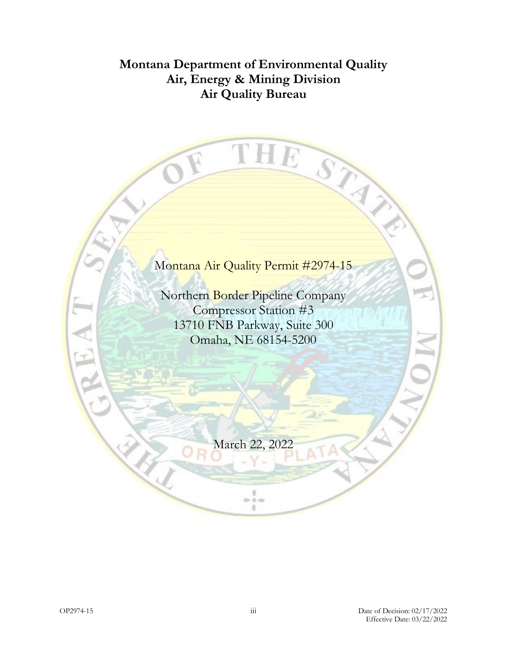## **Montana Department of Environmental Quality Air, Energy & Mining Division Air Quality Bureau**

THE

STAN

# Montana Air Quality Permit #2974-15

Northern Border Pipeline Company Compressor Station #3 13710 FNB Parkway, Suite 300 Omaha, NE 68154-5200

March 22, 2022

 $\frac{1}{2}$ a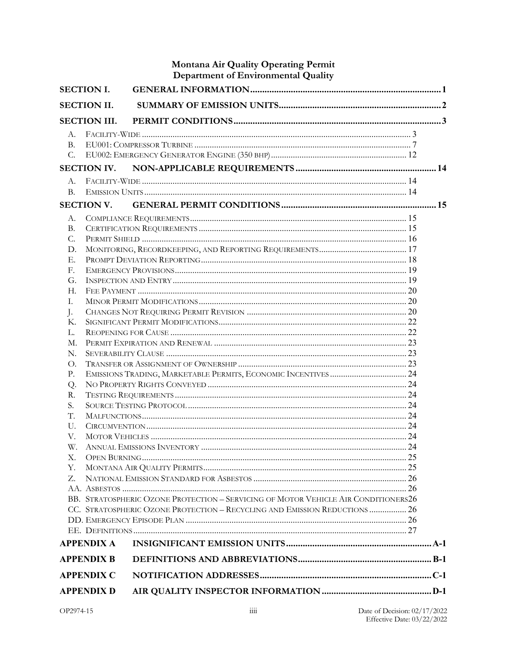|                   |                     | Montana Air Quality Operating Permit<br>Department of Environmental Quality        |  |  |
|-------------------|---------------------|------------------------------------------------------------------------------------|--|--|
| <b>SECTION I.</b> |                     |                                                                                    |  |  |
|                   | <b>SECTION II.</b>  |                                                                                    |  |  |
|                   |                     |                                                                                    |  |  |
|                   | <b>SECTION III.</b> |                                                                                    |  |  |
| A.                |                     |                                                                                    |  |  |
| <b>B.</b>         |                     |                                                                                    |  |  |
| C.                |                     |                                                                                    |  |  |
|                   | <b>SECTION IV.</b>  |                                                                                    |  |  |
| A.                |                     |                                                                                    |  |  |
| <b>B.</b>         |                     |                                                                                    |  |  |
|                   | <b>SECTION V.</b>   |                                                                                    |  |  |
| A.                |                     |                                                                                    |  |  |
| <b>B.</b>         |                     |                                                                                    |  |  |
| C.                |                     |                                                                                    |  |  |
| D.                |                     |                                                                                    |  |  |
| Е.                |                     |                                                                                    |  |  |
| F.                |                     |                                                                                    |  |  |
| G.                |                     |                                                                                    |  |  |
| H.                |                     |                                                                                    |  |  |
| I.                |                     |                                                                                    |  |  |
| J.                |                     |                                                                                    |  |  |
| Κ.                |                     |                                                                                    |  |  |
|                   | L.                  |                                                                                    |  |  |
| М.                |                     |                                                                                    |  |  |
| N.                |                     |                                                                                    |  |  |
| Ω.<br>Р.          |                     |                                                                                    |  |  |
| Q.                |                     |                                                                                    |  |  |
| R.                |                     |                                                                                    |  |  |
| S.                |                     |                                                                                    |  |  |
| T.                |                     |                                                                                    |  |  |
| U.                |                     |                                                                                    |  |  |
| V.                |                     |                                                                                    |  |  |
| W.                |                     |                                                                                    |  |  |
| Χ.                |                     |                                                                                    |  |  |
| Υ.                |                     |                                                                                    |  |  |
| Z.                |                     |                                                                                    |  |  |
|                   |                     |                                                                                    |  |  |
|                   |                     | BB. STRATOSPHERIC OZONE PROTECTION - SERVICING OF MOTOR VEHICLE AIR CONDITIONERS26 |  |  |
|                   |                     | CC. STRATOSPHERIC OZONE PROTECTION - RECYCLING AND EMISSION REDUCTIONS  26         |  |  |
|                   |                     |                                                                                    |  |  |
|                   |                     |                                                                                    |  |  |
|                   | <b>APPENDIX A</b>   |                                                                                    |  |  |
|                   | <b>APPENDIX B</b>   |                                                                                    |  |  |
|                   | <b>APPENDIX C</b>   |                                                                                    |  |  |
|                   | <b>APPENDIX D</b>   |                                                                                    |  |  |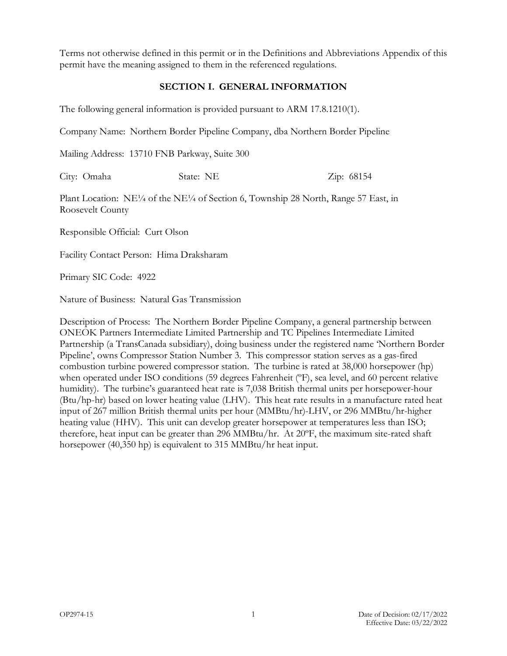Terms not otherwise defined in this permit or in the Definitions and Abbreviations Appendix of this permit have the meaning assigned to them in the referenced regulations.

#### **SECTION I. GENERAL INFORMATION**

The following general information is provided pursuant to ARM 17.8.1210(1).

Company Name: Northern Border Pipeline Company, dba Northern Border Pipeline

Mailing Address: 13710 FNB Parkway, Suite 300

City: Omaha State: NE Zip: 68154

Plant Location: NE¼ of the NE¼ of Section 6, Township 28 North, Range 57 East, in Roosevelt County

Responsible Official: Curt Olson

Facility Contact Person: Hima Draksharam

Primary SIC Code: 4922

Nature of Business: Natural Gas Transmission

Description of Process: The Northern Border Pipeline Company, a general partnership between ONEOK Partners Intermediate Limited Partnership and TC Pipelines Intermediate Limited Partnership (a TransCanada subsidiary), doing business under the registered name 'Northern Border Pipeline', owns Compressor Station Number 3. This compressor station serves as a gas-fired combustion turbine powered compressor station. The turbine is rated at 38,000 horsepower (hp) when operated under ISO conditions (59 degrees Fahrenheit (ºF), sea level, and 60 percent relative humidity). The turbine's guaranteed heat rate is 7,038 British thermal units per horsepower-hour (Btu/hp-hr) based on lower heating value (LHV). This heat rate results in a manufacture rated heat input of 267 million British thermal units per hour (MMBtu/hr)-LHV, or 296 MMBtu/hr-higher heating value (HHV). This unit can develop greater horsepower at temperatures less than ISO; therefore, heat input can be greater than 296 MMBtu/hr. At 20ºF, the maximum site-rated shaft horsepower (40,350 hp) is equivalent to 315 MMBtu/hr heat input.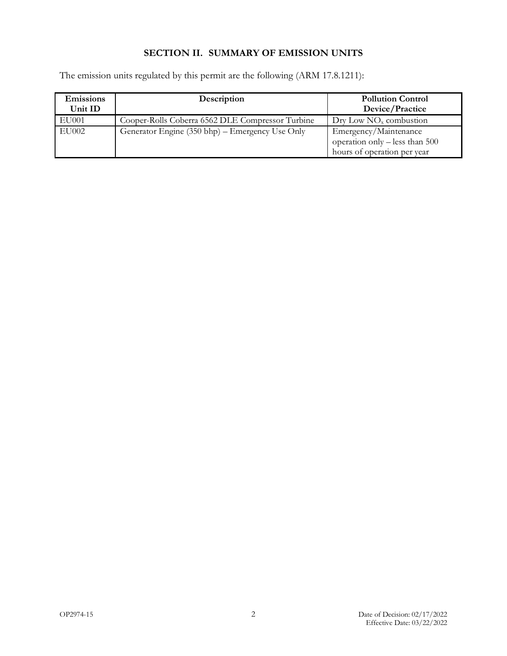## **SECTION II. SUMMARY OF EMISSION UNITS**

The emission units regulated by this permit are the following (ARM 17.8.1211):

| <b>Emissions</b><br>Unit ID | Description                                      | <b>Pollution Control</b><br>Device/Practice                                            |
|-----------------------------|--------------------------------------------------|----------------------------------------------------------------------------------------|
| EU001                       | Cooper-Rolls Coberra 6562 DLE Compressor Turbine | $\text{Drv}$ Low NO <sub>x</sub> combustion                                            |
| EU002                       | Generator Engine (350 bhp) – Emergency Use Only  | Emergency/Maintenance<br>operation only – less than 500<br>hours of operation per year |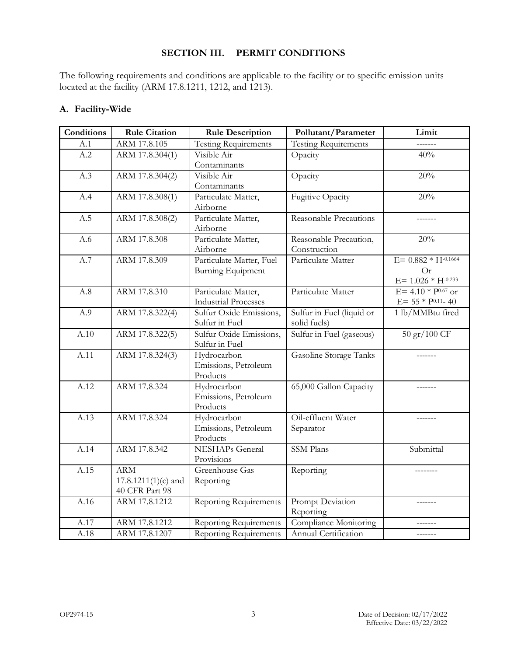#### **SECTION III. PERMIT CONDITIONS**

The following requirements and conditions are applicable to the facility or to specific emission units located at the facility (ARM 17.8.1211, 1212, and 1213).

#### **A. Facility-Wide**

| <b>Conditions</b> | <b>Rule Citation</b>  | <b>Rule Description</b>                   | Pollutant/Parameter         | Limit                     |
|-------------------|-----------------------|-------------------------------------------|-----------------------------|---------------------------|
| A.1               | ARM 17.8.105          | <b>Testing Requirements</b>               | <b>Testing Requirements</b> |                           |
| A.2               | ARM 17.8.304(1)       | Visible Air                               | Opacity                     | 40%                       |
|                   |                       | Contaminants                              |                             |                           |
| A.3               | ARM 17.8.304(2)       | Visible Air                               | Opacity                     | 20%                       |
|                   |                       | Contaminants                              |                             |                           |
| A.4               | ARM 17.8.308(1)       | Particulate Matter,                       | Fugitive Opacity            | 20%                       |
|                   |                       | Airborne                                  |                             |                           |
| A.5               | ARM 17.8.308(2)       | Particulate Matter,                       | Reasonable Precautions      |                           |
|                   |                       | Airborne                                  |                             |                           |
| A.6               | ARM 17.8.308          | Particulate Matter,                       | Reasonable Precaution,      | 20%                       |
|                   |                       | Airborne                                  | Construction                |                           |
| A.7               | ARM 17.8.309          | Particulate Matter, Fuel                  | Particulate Matter          | $E = 0.882 * H^{-0.1664}$ |
|                   |                       | <b>Burning Equipment</b>                  |                             | Or                        |
|                   |                       |                                           |                             | $E = 1.026 * H^{-0.233}$  |
| A.8               | ARM 17.8.310          | Particulate Matter,                       | Particulate Matter          | E= $4.10 * P^{0.67}$ or   |
|                   |                       | <b>Industrial Processes</b>               |                             | $E = 55 * P^{0.11} - 40$  |
| A.9               | ARM 17.8.322(4)       | Sulfur Oxide Emissions,                   | Sulfur in Fuel (liquid or   | 1 lb/MMBtu fired          |
|                   |                       | Sulfur in Fuel                            | solid fuels)                |                           |
| A.10              | ARM 17.8.322(5)       | Sulfur Oxide Emissions,<br>Sulfur in Fuel | Sulfur in Fuel (gaseous)    | 50 gr/100 CF              |
| A.11              | ARM 17.8.324(3)       | Hydrocarbon                               | Gasoline Storage Tanks      |                           |
|                   |                       | Emissions, Petroleum                      |                             |                           |
|                   |                       | Products                                  |                             |                           |
| A.12              | ARM 17.8.324          | Hydrocarbon                               | 65,000 Gallon Capacity      |                           |
|                   |                       | Emissions, Petroleum                      |                             |                           |
|                   |                       | Products                                  |                             |                           |
| A.13              | ARM 17.8.324          | Hydrocarbon                               | Oil-effluent Water          |                           |
|                   |                       | Emissions, Petroleum                      | Separator                   |                           |
|                   |                       | Products                                  |                             |                           |
| A.14              | ARM 17.8.342          | <b>NESHAPs</b> General                    | <b>SSM</b> Plans            | Submittal                 |
|                   |                       | Provisions                                |                             |                           |
| A.15              | <b>ARM</b>            | Greenhouse Gas                            | Reporting                   |                           |
|                   | $17.8.1211(1)(c)$ and | Reporting                                 |                             |                           |
|                   | 40 CFR Part 98        |                                           |                             |                           |
| A.16              | ARM 17.8.1212         | <b>Reporting Requirements</b>             | Prompt Deviation            |                           |
|                   |                       |                                           | Reporting                   |                           |
| A.17              | ARM 17.8.1212         | <b>Reporting Requirements</b>             | Compliance Monitoring       |                           |
| A.18              | ARM 17.8.1207         | <b>Reporting Requirements</b>             | Annual Certification        |                           |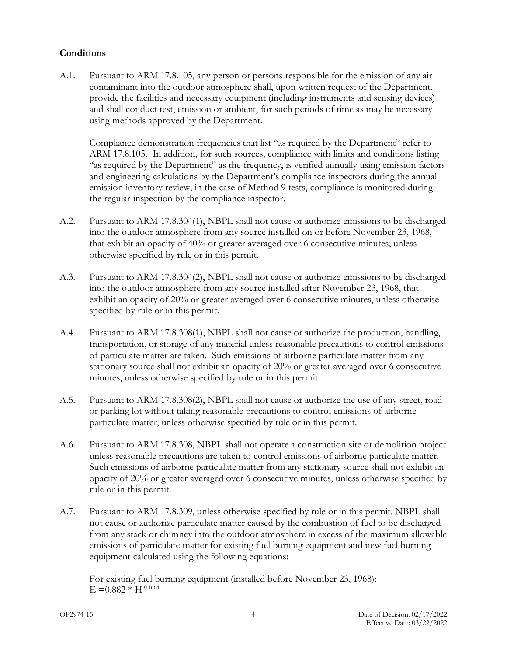#### **Conditions**

<span id="page-6-0"></span>A.1. Pursuant to ARM 17.8.105, any person or persons responsible for the emission of any air contaminant into the outdoor atmosphere shall, upon written request of the Department, provide the facilities and necessary equipment (including instruments and sensing devices) and shall conduct test, emission or ambient, for such periods of time as may be necessary using methods approved by the Department.

Compliance demonstration frequencies that list "as required by the Department" refer to ARM 17.8.105. In addition, for such sources, compliance with limits and conditions listing "as required by the Department" as the frequency, is verified annually using emission factors and engineering calculations by the Department's compliance inspectors during the annual emission inventory review; in the case of Method 9 tests, compliance is monitored during the regular inspection by the compliance inspector.

- <span id="page-6-1"></span>A.2. Pursuant to ARM 17.8.304(1), NBPL shall not cause or authorize emissions to be discharged into the outdoor atmosphere from any source installed on or before November 23, 1968, that exhibit an opacity of 40% or greater averaged over 6 consecutive minutes, unless otherwise specified by rule or in this permit.
- <span id="page-6-2"></span>A.3. Pursuant to ARM 17.8.304(2), NBPL shall not cause or authorize emissions to be discharged into the outdoor atmosphere from any source installed after November 23, 1968, that exhibit an opacity of 20% or greater averaged over 6 consecutive minutes, unless otherwise specified by rule or in this permit.
- <span id="page-6-3"></span>A.4. Pursuant to ARM 17.8.308(1), NBPL shall not cause or authorize the production, handling, transportation, or storage of any material unless reasonable precautions to control emissions of particulate matter are taken. Such emissions of airborne particulate matter from any stationary source shall not exhibit an opacity of 20% or greater averaged over 6 consecutive minutes, unless otherwise specified by rule or in this permit.
- <span id="page-6-4"></span>A.5. Pursuant to ARM 17.8.308(2), NBPL shall not cause or authorize the use of any street, road or parking lot without taking reasonable precautions to control emissions of airborne particulate matter, unless otherwise specified by rule or in this permit.
- <span id="page-6-5"></span>A.6. Pursuant to ARM 17.8.308, NBPL shall not operate a construction site or demolition project unless reasonable precautions are taken to control emissions of airborne particulate matter. Such emissions of airborne particulate matter from any stationary source shall not exhibit an opacity of 20% or greater averaged over 6 consecutive minutes, unless otherwise specified by rule or in this permit.
- <span id="page-6-6"></span>A.7. Pursuant to ARM 17.8.309, unless otherwise specified by rule or in this permit, NBPL shall not cause or authorize particulate matter caused by the combustion of fuel to be discharged from any stack or chimney into the outdoor atmosphere in excess of the maximum allowable emissions of particulate matter for existing fuel burning equipment and new fuel burning equipment calculated using the following equations:

For existing fuel burning equipment (installed before November 23, 1968):  $E = 0.882 * H^{-0.1664}$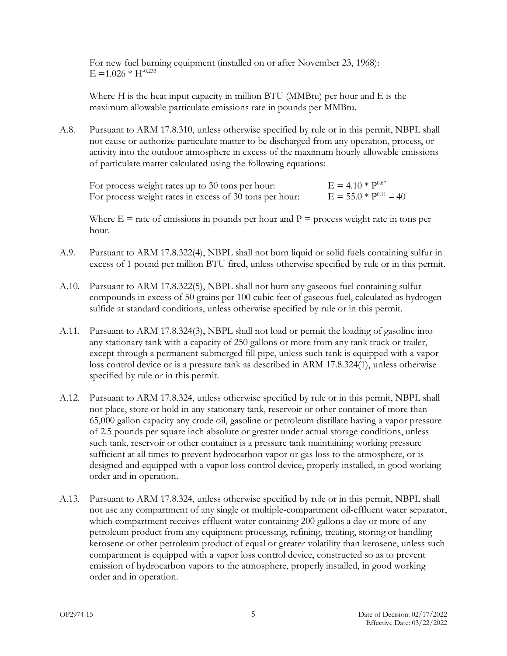For new fuel burning equipment (installed on or after November 23, 1968):  $E = 1.026 * H^{-0.233}$ 

Where H is the heat input capacity in million BTU (MMBtu) per hour and E is the maximum allowable particulate emissions rate in pounds per MMBtu.

<span id="page-7-0"></span>A.8. Pursuant to ARM 17.8.310, unless otherwise specified by rule or in this permit, NBPL shall not cause or authorize particulate matter to be discharged from any operation, process, or activity into the outdoor atmosphere in excess of the maximum hourly allowable emissions of particulate matter calculated using the following equations:

| For process weight rates up to 30 tons per hour:        | $E = 4.10 * P^{0.67}$      |
|---------------------------------------------------------|----------------------------|
| For process weight rates in excess of 30 tons per hour: | $E = 55.0 * P^{0.11} - 40$ |

Where  $E =$  rate of emissions in pounds per hour and  $P =$  process weight rate in tons per hour.

- <span id="page-7-1"></span>A.9. Pursuant to ARM 17.8.322(4), NBPL shall not burn liquid or solid fuels containing sulfur in excess of 1 pound per million BTU fired, unless otherwise specified by rule or in this permit.
- <span id="page-7-2"></span>A.10. Pursuant to ARM 17.8.322(5), NBPL shall not burn any gaseous fuel containing sulfur compounds in excess of 50 grains per 100 cubic feet of gaseous fuel, calculated as hydrogen sulfide at standard conditions, unless otherwise specified by rule or in this permit.
- <span id="page-7-3"></span>A.11. Pursuant to ARM 17.8.324(3), NBPL shall not load or permit the loading of gasoline into any stationary tank with a capacity of 250 gallons or more from any tank truck or trailer, except through a permanent submerged fill pipe, unless such tank is equipped with a vapor loss control device or is a pressure tank as described in ARM 17.8.324(1), unless otherwise specified by rule or in this permit.
- <span id="page-7-4"></span>A.12. Pursuant to ARM 17.8.324, unless otherwise specified by rule or in this permit, NBPL shall not place, store or hold in any stationary tank, reservoir or other container of more than 65,000 gallon capacity any crude oil, gasoline or petroleum distillate having a vapor pressure of 2.5 pounds per square inch absolute or greater under actual storage conditions, unless such tank, reservoir or other container is a pressure tank maintaining working pressure sufficient at all times to prevent hydrocarbon vapor or gas loss to the atmosphere, or is designed and equipped with a vapor loss control device, properly installed, in good working order and in operation.
- <span id="page-7-5"></span>A.13. Pursuant to ARM 17.8.324, unless otherwise specified by rule or in this permit, NBPL shall not use any compartment of any single or multiple-compartment oil-effluent water separator, which compartment receives effluent water containing 200 gallons a day or more of any petroleum product from any equipment processing, refining, treating, storing or handling kerosene or other petroleum product of equal or greater volatility than kerosene, unless such compartment is equipped with a vapor loss control device, constructed so as to prevent emission of hydrocarbon vapors to the atmosphere, properly installed, in good working order and in operation.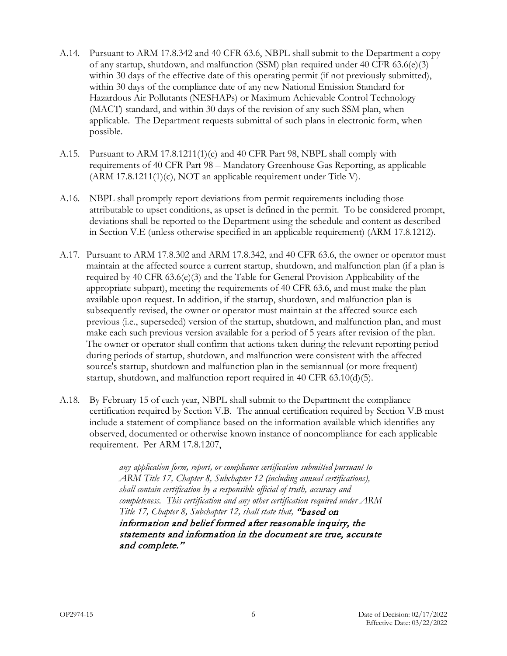- <span id="page-8-0"></span>A.14. Pursuant to ARM 17.8.342 and 40 CFR 63.6, NBPL shall submit to the Department a copy of any startup, shutdown, and malfunction (SSM) plan required under 40 CFR 63.6(e)(3) within 30 days of the effective date of this operating permit (if not previously submitted), within 30 days of the compliance date of any new National Emission Standard for Hazardous Air Pollutants (NESHAPs) or Maximum Achievable Control Technology (MACT) standard, and within 30 days of the revision of any such SSM plan, when applicable. The Department requests submittal of such plans in electronic form, when possible.
- <span id="page-8-1"></span>A.15. Pursuant to ARM 17.8.1211(1)(c) and 40 CFR Part 98, NBPL shall comply with requirements of 40 CFR Part 98 – Mandatory Greenhouse Gas Reporting, as applicable (ARM 17.8.1211(1)(c), NOT an applicable requirement under Title V).
- <span id="page-8-2"></span>A.16. NBPL shall promptly report deviations from permit requirements including those attributable to upset conditions, as upset is defined in the permit. To be considered prompt, deviations shall be reported to the Department using the schedule and content as described in Section V[.E](#page-20-0) (unless otherwise specified in an applicable requirement) (ARM 17.8.1212).
- A.17. Pursuant to ARM 17.8.302 and ARM 17.8.342, and 40 CFR 63.6, the owner or operator must maintain at the affected source a current startup, shutdown, and malfunction plan (if a plan is required by 40 CFR 63.6(e)(3) and the Table for General Provision Applicability of the appropriate subpart), meeting the requirements of 40 CFR 63.6, and must make the plan available upon request. In addition, if the startup, shutdown, and malfunction plan is subsequently revised, the owner or operator must maintain at the affected source each previous (i.e., superseded) version of the startup, shutdown, and malfunction plan, and must make each such previous version available for a period of 5 years after revision of the plan. The owner or operator shall confirm that actions taken during the relevant reporting period during periods of startup, shutdown, and malfunction were consistent with the affected source's startup, shutdown and malfunction plan in the semiannual (or more frequent) startup, shutdown, and malfunction report required in 40 CFR 63.10(d)(5).
- <span id="page-8-3"></span>A.18. By February 15 of each year, NBPL shall submit to the Department the compliance certification required by Section V[.B.](#page-17-0) The annual certification required by Section V[.B](#page-17-0) must include a statement of compliance based on the information available which identifies any observed, documented or otherwise known instance of noncompliance for each applicable requirement. Per ARM 17.8.1207,

*any application form, report, or compliance certification submitted pursuant to ARM Title 17, Chapter 8, Subchapter 12 (including annual certifications), shall contain certification by a responsible official of truth, accuracy and completeness. This certification and any other certification required under ARM Title 17, Chapter 8, Subchapter 12, shall state that,* "based on information and belief formed after reasonable inquiry, the statements and information in the document are true, accurate and complete."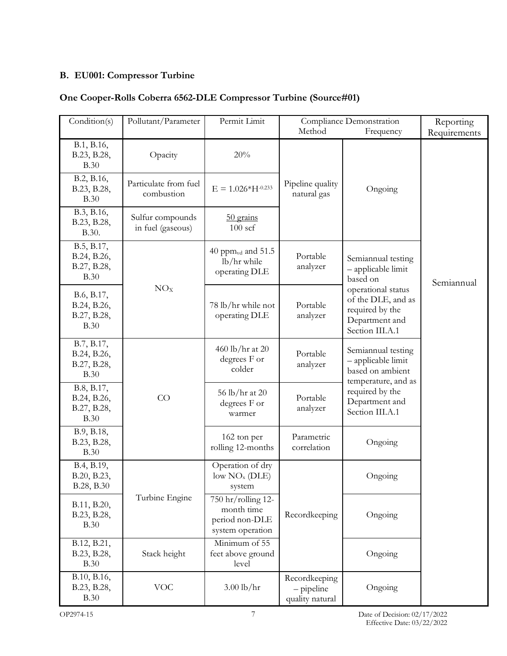## **B. EU001: Compressor Turbine**

## **One Cooper-Rolls Coberra 6562-DLE Compressor Turbine (Source#01)**

| Condition(s)                                            | Pollutant/Parameter                   | Permit Limit                                                           | Compliance Demonstration<br>Method<br>Frequency |                                                                                                  | Reporting<br>Requirements |
|---------------------------------------------------------|---------------------------------------|------------------------------------------------------------------------|-------------------------------------------------|--------------------------------------------------------------------------------------------------|---------------------------|
| B.1, B.16,<br>B.23, B.28,<br><b>B.30</b>                | Opacity                               | 20%                                                                    |                                                 |                                                                                                  |                           |
| B.2, B.16,<br>B.23, B.28,<br><b>B.30</b>                | Particulate from fuel<br>combustion   | $E = 1.026*H^{-0.233}$                                                 | Pipeline quality<br>natural gas                 | Ongoing                                                                                          |                           |
| B.3, B.16,<br>B.23, B.28,<br>B.30.                      | Sulfur compounds<br>in fuel (gaseous) | 50 grains<br>$100$ scf                                                 |                                                 |                                                                                                  |                           |
| B.5, B.17,<br>B.24, B.26,<br>B.27, B.28,<br><b>B.30</b> |                                       | 40 ppm $_{\text{vd}}$ and 51.5<br>lb/hr while<br>operating DLE         | Portable<br>analyzer                            | Semiannual testing<br>- applicable limit<br>based on                                             | Semiannual                |
| B.6, B.17,<br>B.24, B.26,<br>B.27, B.28,<br>B.30        | NO <sub>X</sub>                       | 78 lb/hr while not<br>operating DLE                                    | Portable<br>analyzer                            | operational status<br>of the DLE, and as<br>required by the<br>Department and<br>Section III.A.1 |                           |
| B.7, B.17,<br>B.24, B.26,<br>B.27, B.28,<br><b>B.30</b> |                                       | 460 lb/hr at 20<br>degrees F or<br>colder                              | Portable<br>analyzer                            | Semiannual testing<br>- applicable limit<br>based on ambient<br>temperature, and as              |                           |
| B.8, B.17,<br>B.24, B.26,<br>B.27, B.28,<br><b>B.30</b> | CO                                    | 56 lb/hr at 20<br>degrees F or<br>warmer                               | Portable<br>analyzer                            | required by the<br>Department and<br>Section III.A.1                                             |                           |
| B.9, B.18,<br>B.23, B.28,<br><b>B.30</b>                |                                       | 162 ton per<br>rolling 12-months                                       | Parametric<br>correlation                       | Ongoing                                                                                          |                           |
| B.4, B.19,<br>B.20, B.23,<br>B.28, B.30                 |                                       | Operation of dry<br>low NO <sub>x</sub> (DLE)<br>system                |                                                 | Ongoing                                                                                          |                           |
| B.11, B.20,<br>B.23, B.28,<br><b>B.30</b>               | Turbine Engine                        | 750 hr/rolling 12-<br>month time<br>period non-DLE<br>system operation | Recordkeeping                                   | Ongoing                                                                                          |                           |
| B.12, B.21,<br>B.23, B.28,<br><b>B.30</b>               | Stack height                          | Minimum of 55<br>feet above ground<br>level                            |                                                 | Ongoing                                                                                          |                           |
| B.10, B.16,<br>B.23, B.28,<br><b>B.30</b>               | <b>VOC</b>                            | $3.00$ lb/hr                                                           | Recordkeeping<br>$-pipeline$<br>quality natural | Ongoing                                                                                          |                           |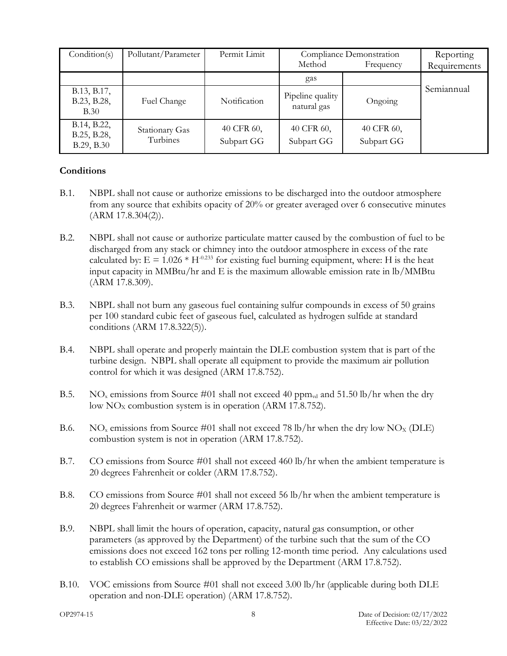| Condition(s)                             | Pollutant/Parameter        | Permit Limit             | Compliance Demonstration<br>Method<br>Frequency |                          | Reporting<br>Requirements |
|------------------------------------------|----------------------------|--------------------------|-------------------------------------------------|--------------------------|---------------------------|
|                                          |                            |                          | gas                                             |                          |                           |
| B.13, B.17,<br>B.23, B.28,<br>B.30       | Fuel Change                | Notification             | Pipeline quality<br>natural gas                 | Ongoing                  | Semiannual                |
| B.14, B.22,<br>B.25, B.28,<br>B.29, B.30 | Stationary Gas<br>Turbines | 40 CFR 60,<br>Subpart GG | 40 CFR 60,<br>Subpart GG                        | 40 CFR 60,<br>Subpart GG |                           |

#### **Conditions**

- <span id="page-10-0"></span>B.1. NBPL shall not cause or authorize emissions to be discharged into the outdoor atmosphere from any source that exhibits opacity of 20% or greater averaged over 6 consecutive minutes (ARM 17.8.304(2)).
- <span id="page-10-1"></span>B.2. NBPL shall not cause or authorize particulate matter caused by the combustion of fuel to be discharged from any stack or chimney into the outdoor atmosphere in excess of the rate calculated by:  $E = 1.026 * H^{0.233}$  for existing fuel burning equipment, where: H is the heat input capacity in MMBtu/hr and E is the maximum allowable emission rate in lb/MMBtu (ARM 17.8.309).
- <span id="page-10-2"></span>B.3. NBPL shall not burn any gaseous fuel containing sulfur compounds in excess of 50 grains per 100 standard cubic feet of gaseous fuel, calculated as hydrogen sulfide at standard conditions (ARM 17.8.322(5)).
- <span id="page-10-8"></span>B.4. NBPL shall operate and properly maintain the DLE combustion system that is part of the turbine design. NBPL shall operate all equipment to provide the maximum air pollution control for which it was designed (ARM 17.8.752).
- <span id="page-10-3"></span>B.5. NO<sub>x</sub> emissions from Source #01 shall not exceed 40 ppm<sub>vd</sub> and 51.50 lb/hr when the dry low  $NO<sub>x</sub>$  combustion system is in operation (ARM 17.8.752).
- <span id="page-10-4"></span>B.6. NO<sub>x</sub> emissions from Source #01 shall not exceed 78 lb/hr when the dry low NO<sub>x</sub> (DLE) combustion system is not in operation (ARM 17.8.752).
- <span id="page-10-5"></span>B.7. CO emissions from Source #01 shall not exceed 460 lb/hr when the ambient temperature is 20 degrees Fahrenheit or colder (ARM 17.8.752).
- <span id="page-10-6"></span>B.8. CO emissions from Source #01 shall not exceed 56 lb/hr when the ambient temperature is 20 degrees Fahrenheit or warmer (ARM 17.8.752).
- <span id="page-10-7"></span>B.9. NBPL shall limit the hours of operation, capacity, natural gas consumption, or other parameters (as approved by the Department) of the turbine such that the sum of the CO emissions does not exceed 162 tons per rolling 12-month time period. Any calculations used to establish CO emissions shall be approved by the Department (ARM 17.8.752).
- <span id="page-10-9"></span>B.10. VOC emissions from Source #01 shall not exceed 3.00 lb/hr (applicable during both DLE operation and non-DLE operation) (ARM 17.8.752).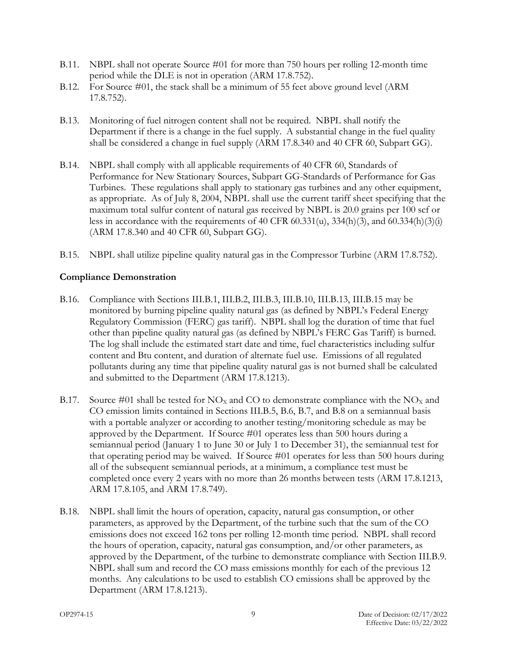- <span id="page-11-3"></span>B.11. NBPL shall not operate Source #01 for more than 750 hours per rolling 12-month time period while the DLE is not in operation (ARM 17.8.752).
- <span id="page-11-4"></span>B.12. For Source #01, the stack shall be a minimum of 55 feet above ground level (ARM 17.8.752).
- <span id="page-11-5"></span>B.13. Monitoring of fuel nitrogen content shall not be required. NBPL shall notify the Department if there is a change in the fuel supply. A substantial change in the fuel quality shall be considered a change in fuel supply (ARM 17.8.340 and 40 CFR 60, Subpart GG).
- <span id="page-11-6"></span>B.14. NBPL shall comply with all applicable requirements of 40 CFR 60, Standards of Performance for New Stationary Sources, Subpart GG-Standards of Performance for Gas Turbines. These regulations shall apply to stationary gas turbines and any other equipment, as appropriate. As of July 8, 2004, NBPL shall use the current tariff sheet specifying that the maximum total sulfur content of natural gas received by NBPL is 20.0 grains per 100 scf or less in accordance with the requirements of 40 CFR 60.331(u), 334(h)(3), and 60.334(h)(3)(i) (ARM 17.8.340 and 40 CFR 60, Subpart GG).
- <span id="page-11-7"></span>B.15. NBPL shall utilize pipeline quality natural gas in the Compressor Turbine (ARM 17.8.752).

#### **Compliance Demonstration**

- <span id="page-11-0"></span>B.16. Compliance with Sections III[.B.1,](#page-10-0) II[I.B.2,](#page-10-1) III[.B.3,](#page-10-2) III[.B.10,](#page-10-9) III[.B.13,](#page-11-5) III[.B.15](#page-11-7) may be monitored by burning pipeline quality natural gas (as defined by NBPL's Federal Energy Regulatory Commission (FERC) gas tariff). NBPL shall log the duration of time that fuel other than pipeline quality natural gas (as defined by NBPL's FERC Gas Tariff) is burned. The log shall include the estimated start date and time, fuel characteristics including sulfur content and Btu content, and duration of alternate fuel use. Emissions of all regulated pollutants during any time that pipeline quality natural gas is not burned shall be calculated and submitted to the Department (ARM 17.8.1213).
- <span id="page-11-1"></span>B.17. Source #01 shall be tested for  $NO<sub>X</sub>$  and CO to demonstrate compliance with the  $NO<sub>X</sub>$  and CO emission limits contained in Sections II[I.B.5,](#page-10-3) [B.6,](#page-10-4) [B.7,](#page-10-5) and [B.8](#page-10-6) on a semiannual basis with a portable analyzer or according to another testing/monitoring schedule as may be approved by the Department. If Source #01 operates less than 500 hours during a semiannual period (January 1 to June 30 or July 1 to December 31), the semiannual test for that operating period may be waived. If Source #01 operates for less than 500 hours during all of the subsequent semiannual periods, at a minimum, a compliance test must be completed once every 2 years with no more than 26 months between tests (ARM 17.8.1213, ARM 17.8.105, and ARM 17.8.749).
- <span id="page-11-2"></span>B.18. NBPL shall limit the hours of operation, capacity, natural gas consumption, or other parameters, as approved by the Department, of the turbine such that the sum of the CO emissions does not exceed 162 tons per rolling 12-month time period. NBPL shall record the hours of operation, capacity, natural gas consumption, and/or other parameters, as approved by the Department, of the turbine to demonstrate compliance with Section III[.B.9.](#page-10-7) NBPL shall sum and record the CO mass emissions monthly for each of the previous 12 months. Any calculations to be used to establish CO emissions shall be approved by the Department (ARM 17.8.1213).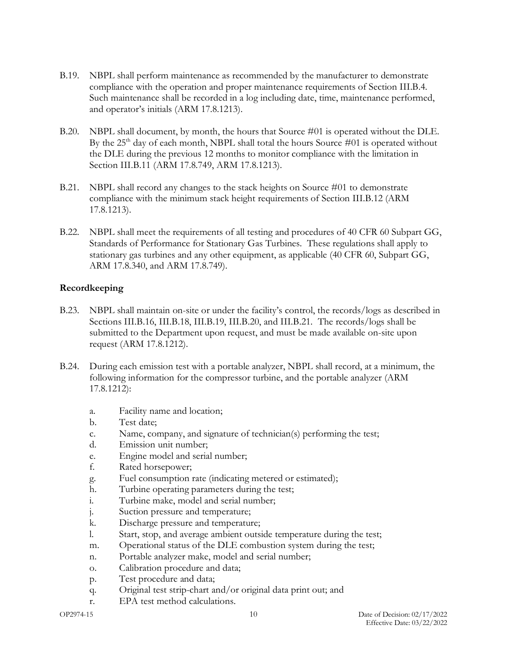- <span id="page-12-2"></span>B.19. NBPL shall perform maintenance as recommended by the manufacturer to demonstrate compliance with the operation and proper maintenance requirements of Section III[.B.4.](#page-10-8) Such maintenance shall be recorded in a log including date, time, maintenance performed, and operator's initials (ARM 17.8.1213).
- <span id="page-12-3"></span>B.20. NBPL shall document, by month, the hours that Source #01 is operated without the DLE. By the  $25<sup>th</sup>$  day of each month, NBPL shall total the hours Source  $\#01$  is operated without the DLE during the previous 12 months to monitor compliance with the limitation in Section II[I.B.11](#page-11-3) (ARM 17.8.749, ARM 17.8.1213).
- <span id="page-12-4"></span>B.21. NBPL shall record any changes to the stack heights on Source #01 to demonstrate compliance with the minimum stack height requirements of Section III[.B.12](#page-11-4) (ARM 17.8.1213).
- <span id="page-12-5"></span>B.22. NBPL shall meet the requirements of all testing and procedures of 40 CFR 60 Subpart GG, Standards of Performance for Stationary Gas Turbines. These regulations shall apply to stationary gas turbines and any other equipment, as applicable (40 CFR 60, Subpart GG, ARM 17.8.340, and ARM 17.8.749).

#### **Recordkeeping**

- <span id="page-12-0"></span>B.23. NBPL shall maintain on-site or under the facility's control, the records/logs as described in Sections III[.B.16,](#page-11-0) III[.B.18,](#page-11-2) III[.B.19,](#page-12-2) II[I.B.20,](#page-12-3) and III[.B.21.](#page-12-4) The records/logs shall be submitted to the Department upon request, and must be made available on-site upon request (ARM 17.8.1212).
- <span id="page-12-1"></span>B.24. During each emission test with a portable analyzer, NBPL shall record, at a minimum, the following information for the compressor turbine, and the portable analyzer (ARM 17.8.1212):
	- a. Facility name and location;
	- b. Test date;
	- c. Name, company, and signature of technician(s) performing the test;
	- d. Emission unit number;
	- e. Engine model and serial number;
	- f. Rated horsepower;
	- g. Fuel consumption rate (indicating metered or estimated);
	- h. Turbine operating parameters during the test;
	- i. Turbine make, model and serial number;
	- j. Suction pressure and temperature;
	- k. Discharge pressure and temperature;
	- l. Start, stop, and average ambient outside temperature during the test;
	- m. Operational status of the DLE combustion system during the test;
	- n. Portable analyzer make, model and serial number;
	- o. Calibration procedure and data;
	- p. Test procedure and data;
	- q. Original test strip-chart and/or original data print out; and
	- r. EPA test method calculations.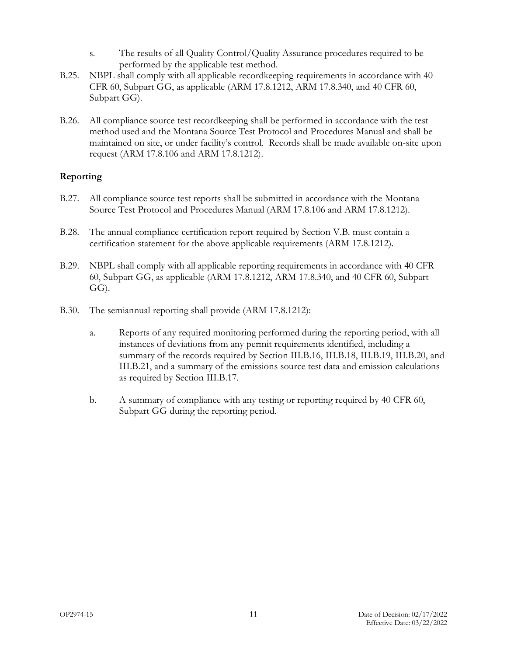- s. The results of all Quality Control/Quality Assurance procedures required to be performed by the applicable test method.
- <span id="page-13-4"></span>B.25. NBPL shall comply with all applicable recordkeeping requirements in accordance with 40 CFR 60, Subpart GG, as applicable (ARM 17.8.1212, ARM 17.8.340, and 40 CFR 60, Subpart GG).
- <span id="page-13-2"></span>B.26. All compliance source test recordkeeping shall be performed in accordance with the test method used and the Montana Source Test Protocol and Procedures Manual and shall be maintained on site, or under facility's control. Records shall be made available on-site upon request (ARM 17.8.106 and ARM 17.8.1212).

#### **Reporting**

- <span id="page-13-3"></span>B.27. All compliance source test reports shall be submitted in accordance with the Montana Source Test Protocol and Procedures Manual (ARM 17.8.106 and ARM 17.8.1212).
- <span id="page-13-0"></span>B.28. The annual compliance certification report required by Section V[.B.](#page-17-0) must contain a certification statement for the above applicable requirements (ARM 17.8.1212).
- <span id="page-13-5"></span>B.29. NBPL shall comply with all applicable reporting requirements in accordance with 40 CFR 60, Subpart GG, as applicable (ARM 17.8.1212, ARM 17.8.340, and 40 CFR 60, Subpart GG).
- <span id="page-13-1"></span>B.30. The semiannual reporting shall provide (ARM 17.8.1212):
	- a. Reports of any required monitoring performed during the reporting period, with all instances of deviations from any permit requirements identified, including a summary of the records required by Section III[.B.16,](#page-11-0) II[I.B.18,](#page-11-2) II[I.B.19,](#page-12-2) III[.B.20,](#page-12-3) and III[.B.21,](#page-12-4) and a summary of the emissions source test data and emission calculations as required by Section II[I.B.17.](#page-11-1)
	- b. A summary of compliance with any testing or reporting required by 40 CFR 60, Subpart GG during the reporting period.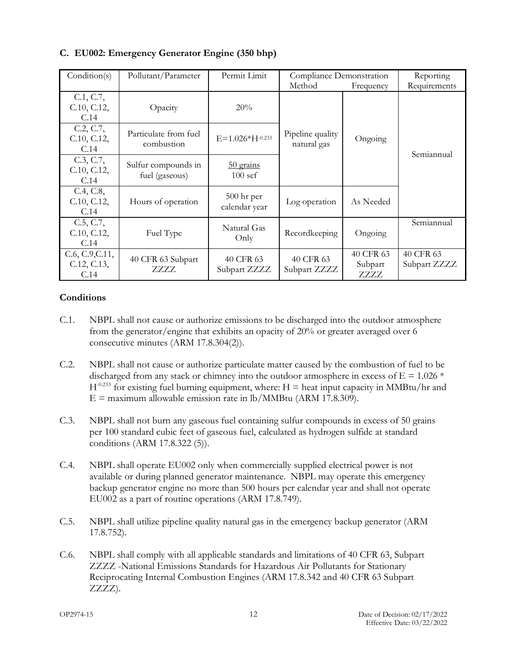| Condition(s)                           | Pollutant/Parameter                   | Permit Limit                  | Compliance Demonstration        |                              | Reporting                 |
|----------------------------------------|---------------------------------------|-------------------------------|---------------------------------|------------------------------|---------------------------|
|                                        |                                       |                               | Method                          | Frequency                    | Requirements              |
| C.1, C.7,<br>C.10, C.12,<br>C.14       | Opacity                               | 20%                           |                                 |                              |                           |
| C.2, C.7,<br>C.10, C.12,<br>C.14       | Particulate from fuel<br>combustion   | $E = 1.026*H^{-0.233}$        | Pipeline quality<br>natural gas | Ongoing                      | Semiannual                |
| C.3, C.7,<br>C.10, C.12,<br>C.14       | Sulfur compounds in<br>fuel (gaseous) | $50$ grains<br>$100$ scf      |                                 |                              |                           |
| C.4, C.8,<br>C.10, C.12,<br>C.14       | Hours of operation                    | $500$ hr per<br>calendar year | Log operation                   | As Needed                    |                           |
| C.5, C.7,<br>C.10, C.12,<br>C.14       | Fuel Type                             | Natural Gas<br>Only           | Recordkeeping                   | Ongoing                      | Semiannual                |
| C.6, C.9, C.11,<br>C.12, C.13,<br>C.14 | 40 CFR 63 Subpart<br>7.7.7.7.         | 40 CFR 63<br>Subpart ZZZZ     | 40 CFR 63<br>Subpart ZZZZ       | 40 CFR 63<br>Subpart<br>ZZZZ | 40 CFR 63<br>Subpart ZZZZ |

## **C. EU002: Emergency Generator Engine (350 bhp)**

#### **Conditions**

- <span id="page-14-0"></span>C.1. NBPL shall not cause or authorize emissions to be discharged into the outdoor atmosphere from the generator/engine that exhibits an opacity of 20% or greater averaged over 6 consecutive minutes (ARM 17.8.304(2)).
- <span id="page-14-1"></span>C.2. NBPL shall not cause or authorize particulate matter caused by the combustion of fuel to be discharged from any stack or chimney into the outdoor atmosphere in excess of  $E = 1.026$  \*  $H^{-0.233}$  for existing fuel burning equipment, where: H = heat input capacity in MMBtu/hr and  $E =$  maximum allowable emission rate in lb/MMBtu (ARM 17.8.309).
- <span id="page-14-2"></span>C.3. NBPL shall not burn any gaseous fuel containing sulfur compounds in excess of 50 grains per 100 standard cubic feet of gaseous fuel, calculated as hydrogen sulfide at standard conditions (ARM 17.8.322 (5)).
- <span id="page-14-3"></span>C.4. NBPL shall operate EU002 only when commercially supplied electrical power is not available or during planned generator maintenance. NBPL may operate this emergency backup generator engine no more than 500 hours per calendar year and shall not operate EU002 as a part of routine operations (ARM 17.8.749).
- <span id="page-14-4"></span>C.5. NBPL shall utilize pipeline quality natural gas in the emergency backup generator (ARM 17.8.752).
- <span id="page-14-5"></span>C.6. NBPL shall comply with all applicable standards and limitations of 40 CFR 63, Subpart ZZZZ -National Emissions Standards for Hazardous Air Pollutants for Stationary Reciprocating Internal Combustion Engines (ARM 17.8.342 and 40 CFR 63 Subpart ZZZZ).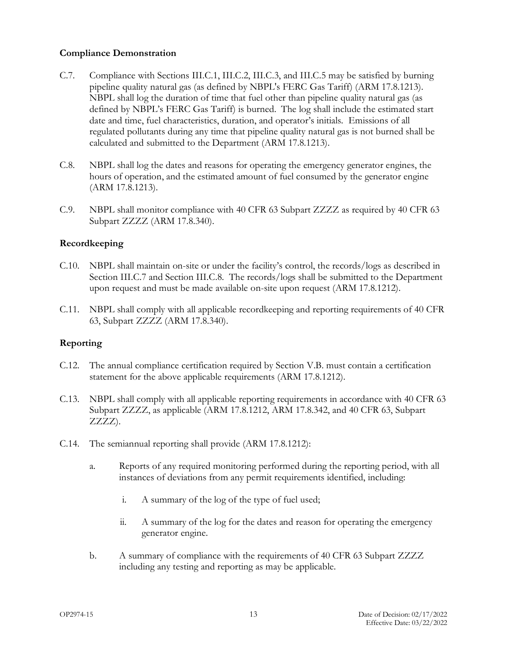#### **Compliance Demonstration**

- <span id="page-15-0"></span>C.7. Compliance with Sections III[.C.1,](#page-14-0) III[.C.2,](#page-14-1) II[I.C.3,](#page-14-2) and II[I.C.5](#page-14-4) may be satisfied by burning pipeline quality natural gas (as defined by NBPL's FERC Gas Tariff) (ARM 17.8.1213). NBPL shall log the duration of time that fuel other than pipeline quality natural gas (as defined by NBPL's FERC Gas Tariff) is burned. The log shall include the estimated start date and time, fuel characteristics, duration, and operator's initials. Emissions of all regulated pollutants during any time that pipeline quality natural gas is not burned shall be calculated and submitted to the Department (ARM 17.8.1213).
- <span id="page-15-4"></span>C.8. NBPL shall log the dates and reasons for operating the emergency generator engines, the hours of operation, and the estimated amount of fuel consumed by the generator engine (ARM 17.8.1213).
- <span id="page-15-5"></span>C.9. NBPL shall monitor compliance with 40 CFR 63 Subpart ZZZZ as required by 40 CFR 63 Subpart ZZZZ (ARM 17.8.340).

#### **Recordkeeping**

- <span id="page-15-1"></span>C.10. NBPL shall maintain on-site or under the facility's control, the records/logs as described in Section II[I.C.7](#page-15-0) and Section III[.C.8.](#page-15-4) The records/logs shall be submitted to the Department upon request and must be made available on-site upon request (ARM 17.8.1212).
- <span id="page-15-6"></span>C.11. NBPL shall comply with all applicable recordkeeping and reporting requirements of 40 CFR 63, Subpart ZZZZ (ARM 17.8.340).

#### **Reporting**

- <span id="page-15-2"></span>C.12. The annual compliance certification required by Section V[.B.](#page-17-0) must contain a certification statement for the above applicable requirements (ARM 17.8.1212).
- <span id="page-15-7"></span>C.13. NBPL shall comply with all applicable reporting requirements in accordance with 40 CFR 63 Subpart ZZZZ, as applicable (ARM 17.8.1212, ARM 17.8.342, and 40 CFR 63, Subpart ZZZZ).
- <span id="page-15-3"></span>C.14. The semiannual reporting shall provide (ARM 17.8.1212):
	- a. Reports of any required monitoring performed during the reporting period, with all instances of deviations from any permit requirements identified, including:
		- i. A summary of the log of the type of fuel used;
		- ii. A summary of the log for the dates and reason for operating the emergency generator engine.
	- b. A summary of compliance with the requirements of 40 CFR 63 Subpart ZZZZ including any testing and reporting as may be applicable.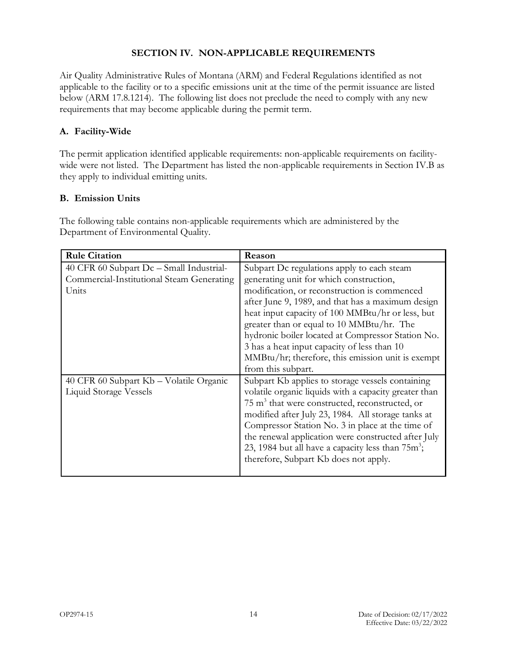#### **SECTION IV. NON-APPLICABLE REQUIREMENTS**

Air Quality Administrative Rules of Montana (ARM) and Federal Regulations identified as not applicable to the facility or to a specific emissions unit at the time of the permit issuance are listed below (ARM 17.8.1214). The following list does not preclude the need to comply with any new requirements that may become applicable during the permit term.

## **A. Facility-Wide**

The permit application identified applicable requirements: non-applicable requirements on facilitywide were not listed. The Department has listed the non-applicable requirements in Section IV[.B](#page-16-0) as they apply to individual emitting units.

#### <span id="page-16-0"></span>**B. Emission Units**

The following table contains non-applicable requirements which are administered by the Department of Environmental Quality.

| <b>Rule Citation</b>                      | Reason                                                        |
|-------------------------------------------|---------------------------------------------------------------|
| 40 CFR 60 Subpart Dc – Small Industrial-  | Subpart Dc regulations apply to each steam                    |
| Commercial-Institutional Steam Generating | generating unit for which construction,                       |
| Units                                     | modification, or reconstruction is commenced                  |
|                                           | after June 9, 1989, and that has a maximum design             |
|                                           | heat input capacity of 100 MMBtu/hr or less, but              |
|                                           | greater than or equal to 10 MMBtu/hr. The                     |
|                                           | hydronic boiler located at Compressor Station No.             |
|                                           | 3 has a heat input capacity of less than 10                   |
|                                           | MMBtu/hr; therefore, this emission unit is exempt             |
|                                           | from this subpart.                                            |
| 40 CFR 60 Subpart Kb – Volatile Organic   | Subpart Kb applies to storage vessels containing              |
| Liquid Storage Vessels                    | volatile organic liquids with a capacity greater than         |
|                                           | $75 \text{ m}^3$ that were constructed, reconstructed, or     |
|                                           | modified after July 23, 1984. All storage tanks at            |
|                                           | Compressor Station No. 3 in place at the time of              |
|                                           | the renewal application were constructed after July           |
|                                           | 23, 1984 but all have a capacity less than 75m <sup>3</sup> ; |
|                                           | therefore, Subpart Kb does not apply.                         |
|                                           |                                                               |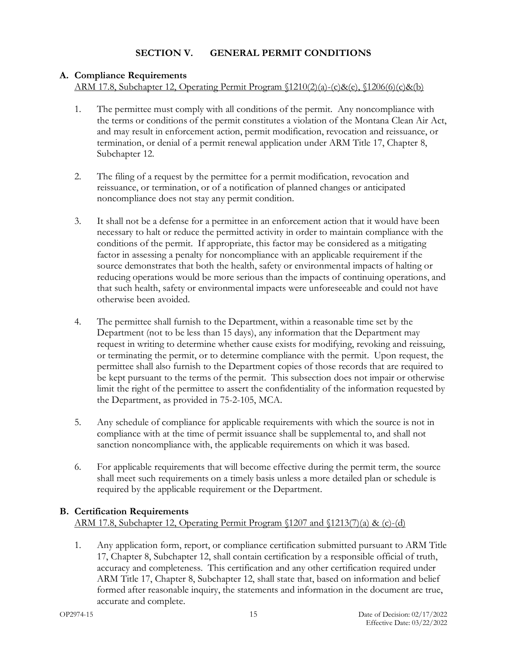## **A. Compliance Requirements**

ARM 17.8, Subchapter 12, Operating Permit Program §1210(2)(a)-(c)&(e), §1206(6)(c)&(b)

- 1. The permittee must comply with all conditions of the permit. Any noncompliance with the terms or conditions of the permit constitutes a violation of the Montana Clean Air Act, and may result in enforcement action, permit modification, revocation and reissuance, or termination, or denial of a permit renewal application under ARM Title 17, Chapter 8, Subchapter 12.
- 2. The filing of a request by the permittee for a permit modification, revocation and reissuance, or termination, or of a notification of planned changes or anticipated noncompliance does not stay any permit condition.
- 3. It shall not be a defense for a permittee in an enforcement action that it would have been necessary to halt or reduce the permitted activity in order to maintain compliance with the conditions of the permit. If appropriate, this factor may be considered as a mitigating factor in assessing a penalty for noncompliance with an applicable requirement if the source demonstrates that both the health, safety or environmental impacts of halting or reducing operations would be more serious than the impacts of continuing operations, and that such health, safety or environmental impacts were unforeseeable and could not have otherwise been avoided.
- 4. The permittee shall furnish to the Department, within a reasonable time set by the Department (not to be less than 15 days), any information that the Department may request in writing to determine whether cause exists for modifying, revoking and reissuing, or terminating the permit, or to determine compliance with the permit. Upon request, the permittee shall also furnish to the Department copies of those records that are required to be kept pursuant to the terms of the permit. This subsection does not impair or otherwise limit the right of the permittee to assert the confidentiality of the information requested by the Department, as provided in 75-2-105, MCA.
- 5. Any schedule of compliance for applicable requirements with which the source is not in compliance with at the time of permit issuance shall be supplemental to, and shall not sanction noncompliance with, the applicable requirements on which it was based.
- 6. For applicable requirements that will become effective during the permit term, the source shall meet such requirements on a timely basis unless a more detailed plan or schedule is required by the applicable requirement or the Department.

## <span id="page-17-0"></span>**B. Certification Requirements**

ARM 17.8, Subchapter 12, Operating Permit Program §1207 and §1213(7)(a) & (c)-(d)

1. Any application form, report, or compliance certification submitted pursuant to ARM Title 17, Chapter 8, Subchapter 12, shall contain certification by a responsible official of truth, accuracy and completeness. This certification and any other certification required under ARM Title 17, Chapter 8, Subchapter 12, shall state that, based on information and belief formed after reasonable inquiry, the statements and information in the document are true, accurate and complete.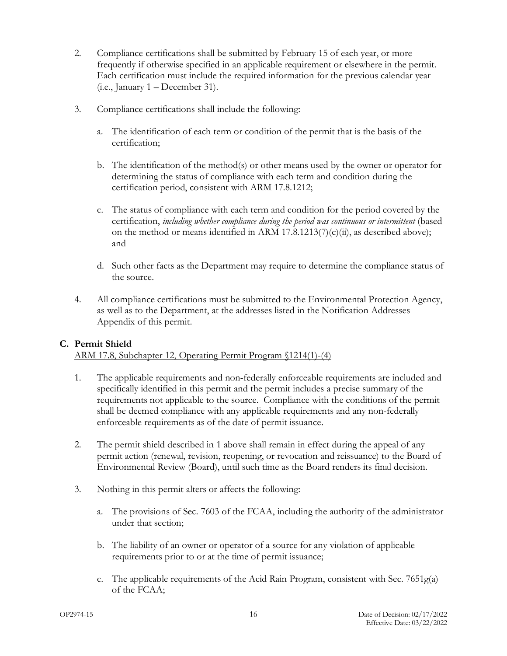- 2. Compliance certifications shall be submitted by February 15 of each year, or more frequently if otherwise specified in an applicable requirement or elsewhere in the permit. Each certification must include the required information for the previous calendar year (i.e., January 1 – December 31).
- 3. Compliance certifications shall include the following:
	- a. The identification of each term or condition of the permit that is the basis of the certification;
	- b. The identification of the method(s) or other means used by the owner or operator for determining the status of compliance with each term and condition during the certification period, consistent with ARM 17.8.1212;
	- c. The status of compliance with each term and condition for the period covered by the certification, *including whether compliance during the period was continuous or intermittent* (based on the method or means identified in ARM 17.8.1213(7)(c)(ii), as described above); and
	- d. Such other facts as the Department may require to determine the compliance status of the source.
- 4. All compliance certifications must be submitted to the Environmental Protection Agency, as well as to the Department, at the addresses listed in the Notification Addresses Appendix of this permit.

#### **C. Permit Shield**

ARM 17.8, Subchapter 12, Operating Permit Program §1214(1)-(4)

- 1. The applicable requirements and non-federally enforceable requirements are included and specifically identified in this permit and the permit includes a precise summary of the requirements not applicable to the source. Compliance with the conditions of the permit shall be deemed compliance with any applicable requirements and any non-federally enforceable requirements as of the date of permit issuance.
- 2. The permit shield described in 1 above shall remain in effect during the appeal of any permit action (renewal, revision, reopening, or revocation and reissuance) to the Board of Environmental Review (Board), until such time as the Board renders its final decision.
- 3. Nothing in this permit alters or affects the following:
	- a. The provisions of Sec. 7603 of the FCAA, including the authority of the administrator under that section;
	- b. The liability of an owner or operator of a source for any violation of applicable requirements prior to or at the time of permit issuance;
	- c. The applicable requirements of the Acid Rain Program, consistent with Sec.  $7651g(a)$ of the FCAA;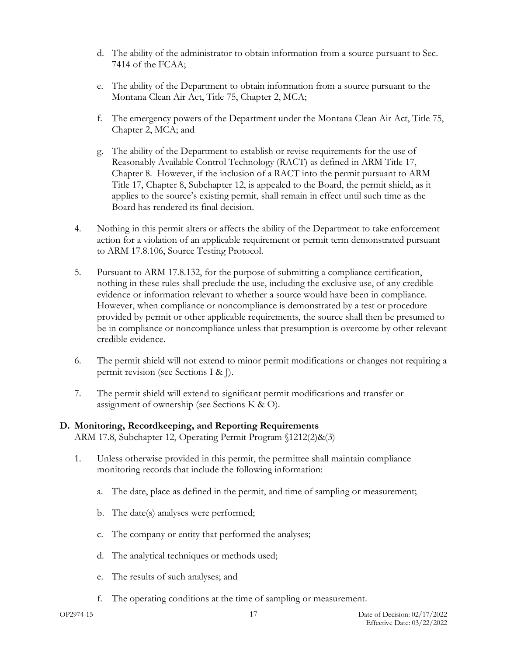- d. The ability of the administrator to obtain information from a source pursuant to Sec. 7414 of the FCAA;
- e. The ability of the Department to obtain information from a source pursuant to the Montana Clean Air Act, Title 75, Chapter 2, MCA;
- f. The emergency powers of the Department under the Montana Clean Air Act, Title 75, Chapter 2, MCA; and
- g. The ability of the Department to establish or revise requirements for the use of Reasonably Available Control Technology (RACT) as defined in ARM Title 17, Chapter 8. However, if the inclusion of a RACT into the permit pursuant to ARM Title 17, Chapter 8, Subchapter 12, is appealed to the Board, the permit shield, as it applies to the source's existing permit, shall remain in effect until such time as the Board has rendered its final decision.
- 4. Nothing in this permit alters or affects the ability of the Department to take enforcement action for a violation of an applicable requirement or permit term demonstrated pursuant to ARM 17.8.106, Source Testing Protocol.
- 5. Pursuant to ARM 17.8.132, for the purpose of submitting a compliance certification, nothing in these rules shall preclude the use, including the exclusive use, of any credible evidence or information relevant to whether a source would have been in compliance. However, when compliance or noncompliance is demonstrated by a test or procedure provided by permit or other applicable requirements, the source shall then be presumed to be in compliance or noncompliance unless that presumption is overcome by other relevant credible evidence.
- 6. The permit shield will not extend to minor permit modifications or changes not requiring a permit revision (see Sections [I](#page-22-0) & [J\)](#page-22-1).
- 7. The permit shield will extend to significant permit modifications and transfer or assignment of ownership (see Sections [K](#page-24-0) & [O\)](#page-25-0).

#### **D. Monitoring, Recordkeeping, and Reporting Requirements** ARM 17.8, Subchapter 12, Operating Permit Program §1212(2)&(3)

- 1. Unless otherwise provided in this permit, the permittee shall maintain compliance monitoring records that include the following information:
	- a. The date, place as defined in the permit, and time of sampling or measurement;
	- b. The date(s) analyses were performed;
	- c. The company or entity that performed the analyses;
	- d. The analytical techniques or methods used;
	- e. The results of such analyses; and
	- f. The operating conditions at the time of sampling or measurement.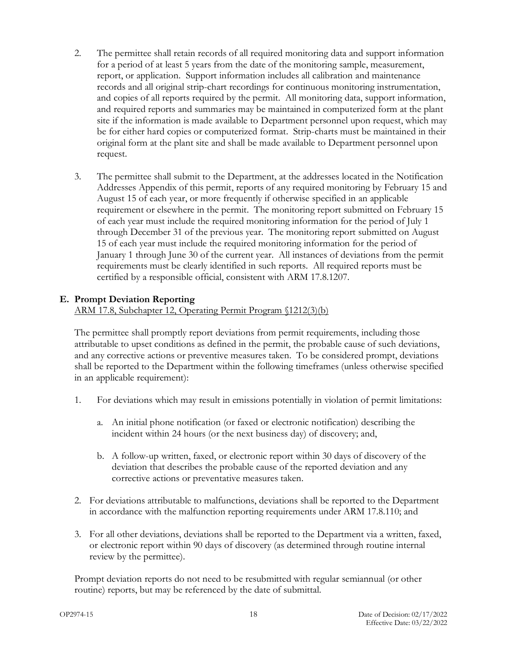- 2. The permittee shall retain records of all required monitoring data and support information for a period of at least 5 years from the date of the monitoring sample, measurement, report, or application. Support information includes all calibration and maintenance records and all original strip-chart recordings for continuous monitoring instrumentation, and copies of all reports required by the permit. All monitoring data, support information, and required reports and summaries may be maintained in computerized form at the plant site if the information is made available to Department personnel upon request, which may be for either hard copies or computerized format. Strip-charts must be maintained in their original form at the plant site and shall be made available to Department personnel upon request.
- 3. The permittee shall submit to the Department, at the addresses located in the Notification Addresses Appendix of this permit, reports of any required monitoring by February 15 and August 15 of each year, or more frequently if otherwise specified in an applicable requirement or elsewhere in the permit. The monitoring report submitted on February 15 of each year must include the required monitoring information for the period of July 1 through December 31 of the previous year. The monitoring report submitted on August 15 of each year must include the required monitoring information for the period of January 1 through June 30 of the current year. All instances of deviations from the permit requirements must be clearly identified in such reports. All required reports must be certified by a responsible official, consistent with ARM 17.8.1207.

#### <span id="page-20-0"></span>**E. Prompt Deviation Reporting**

ARM 17.8, Subchapter 12, Operating Permit Program §1212(3)(b)

The permittee shall promptly report deviations from permit requirements, including those attributable to upset conditions as defined in the permit, the probable cause of such deviations, and any corrective actions or preventive measures taken. To be considered prompt, deviations shall be reported to the Department within the following timeframes (unless otherwise specified in an applicable requirement):

- 1. For deviations which may result in emissions potentially in violation of permit limitations:
	- a. An initial phone notification (or faxed or electronic notification) describing the incident within 24 hours (or the next business day) of discovery; and,
	- b. A follow-up written, faxed, or electronic report within 30 days of discovery of the deviation that describes the probable cause of the reported deviation and any corrective actions or preventative measures taken.
- 2. For deviations attributable to malfunctions, deviations shall be reported to the Department in accordance with the malfunction reporting requirements under ARM 17.8.110; and
- 3. For all other deviations, deviations shall be reported to the Department via a written, faxed, or electronic report within 90 days of discovery (as determined through routine internal review by the permittee).

Prompt deviation reports do not need to be resubmitted with regular semiannual (or other routine) reports, but may be referenced by the date of submittal.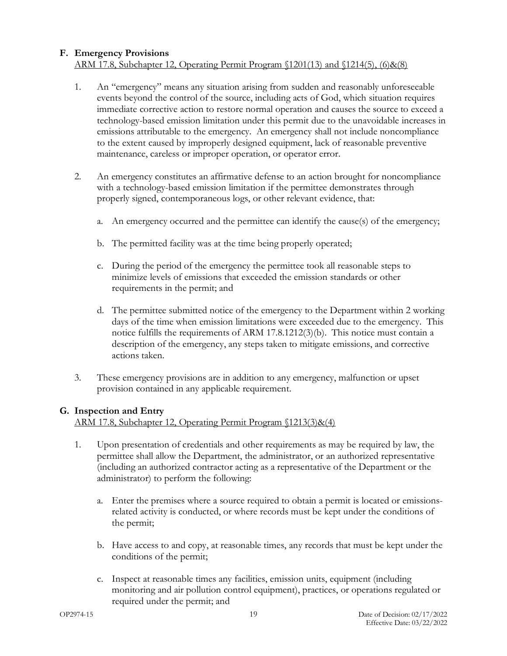#### **F. Emergency Provisions** ARM 17.8, Subchapter 12, Operating Permit Program §1201(13) and §1214(5), (6)&(8)

- 1. An "emergency" means any situation arising from sudden and reasonably unforeseeable events beyond the control of the source, including acts of God, which situation requires immediate corrective action to restore normal operation and causes the source to exceed a technology-based emission limitation under this permit due to the unavoidable increases in emissions attributable to the emergency. An emergency shall not include noncompliance to the extent caused by improperly designed equipment, lack of reasonable preventive maintenance, careless or improper operation, or operator error.
- 2. An emergency constitutes an affirmative defense to an action brought for noncompliance with a technology-based emission limitation if the permittee demonstrates through properly signed, contemporaneous logs, or other relevant evidence, that:
	- a. An emergency occurred and the permittee can identify the cause(s) of the emergency;
	- b. The permitted facility was at the time being properly operated;
	- c. During the period of the emergency the permittee took all reasonable steps to minimize levels of emissions that exceeded the emission standards or other requirements in the permit; and
	- d. The permittee submitted notice of the emergency to the Department within 2 working days of the time when emission limitations were exceeded due to the emergency. This notice fulfills the requirements of ARM 17.8.1212(3)(b). This notice must contain a description of the emergency, any steps taken to mitigate emissions, and corrective actions taken.
- 3. These emergency provisions are in addition to any emergency, malfunction or upset provision contained in any applicable requirement.

#### **G. Inspection and Entry**

ARM 17.8, Subchapter 12, Operating Permit Program §1213(3)&(4)

- 1. Upon presentation of credentials and other requirements as may be required by law, the permittee shall allow the Department, the administrator, or an authorized representative (including an authorized contractor acting as a representative of the Department or the administrator) to perform the following:
	- a. Enter the premises where a source required to obtain a permit is located or emissionsrelated activity is conducted, or where records must be kept under the conditions of the permit;
	- b. Have access to and copy, at reasonable times, any records that must be kept under the conditions of the permit;
	- c. Inspect at reasonable times any facilities, emission units, equipment (including monitoring and air pollution control equipment), practices, or operations regulated or required under the permit; and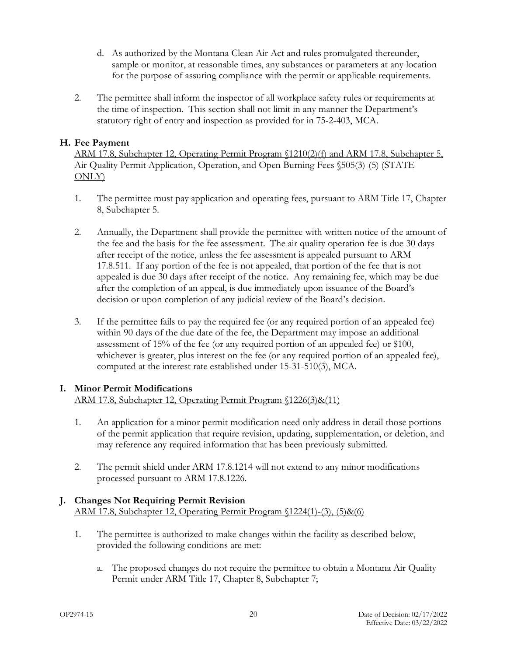- d. As authorized by the Montana Clean Air Act and rules promulgated thereunder, sample or monitor, at reasonable times, any substances or parameters at any location for the purpose of assuring compliance with the permit or applicable requirements.
- 2. The permittee shall inform the inspector of all workplace safety rules or requirements at the time of inspection. This section shall not limit in any manner the Department's statutory right of entry and inspection as provided for in 75-2-403, MCA.

#### **H. Fee Payment**

ARM 17.8, Subchapter 12, Operating Permit Program §1210(2)(f) and ARM 17.8, Subchapter 5, Air Quality Permit Application, Operation, and Open Burning Fees §505(3)-(5) (STATE ONLY)

- 1. The permittee must pay application and operating fees, pursuant to ARM Title 17, Chapter 8, Subchapter 5.
- 2. Annually, the Department shall provide the permittee with written notice of the amount of the fee and the basis for the fee assessment. The air quality operation fee is due 30 days after receipt of the notice, unless the fee assessment is appealed pursuant to ARM 17.8.511. If any portion of the fee is not appealed, that portion of the fee that is not appealed is due 30 days after receipt of the notice. Any remaining fee, which may be due after the completion of an appeal, is due immediately upon issuance of the Board's decision or upon completion of any judicial review of the Board's decision.
- 3. If the permittee fails to pay the required fee (or any required portion of an appealed fee) within 90 days of the due date of the fee, the Department may impose an additional assessment of 15% of the fee (or any required portion of an appealed fee) or \$100, whichever is greater, plus interest on the fee (or any required portion of an appealed fee), computed at the interest rate established under 15-31-510(3), MCA.

#### <span id="page-22-0"></span>**I. Minor Permit Modifications**

#### ARM 17.8, Subchapter 12, Operating Permit Program §1226(3)&(11)

- 1. An application for a minor permit modification need only address in detail those portions of the permit application that require revision, updating, supplementation, or deletion, and may reference any required information that has been previously submitted.
- 2. The permit shield under ARM 17.8.1214 will not extend to any minor modifications processed pursuant to ARM 17.8.1226.

#### <span id="page-22-1"></span>**J. Changes Not Requiring Permit Revision** ARM 17.8, Subchapter 12, Operating Permit Program §1224(1)-(3), (5)&(6)

- 1. The permittee is authorized to make changes within the facility as described below, provided the following conditions are met:
	- a. The proposed changes do not require the permittee to obtain a Montana Air Quality Permit under ARM Title 17, Chapter 8, Subchapter 7;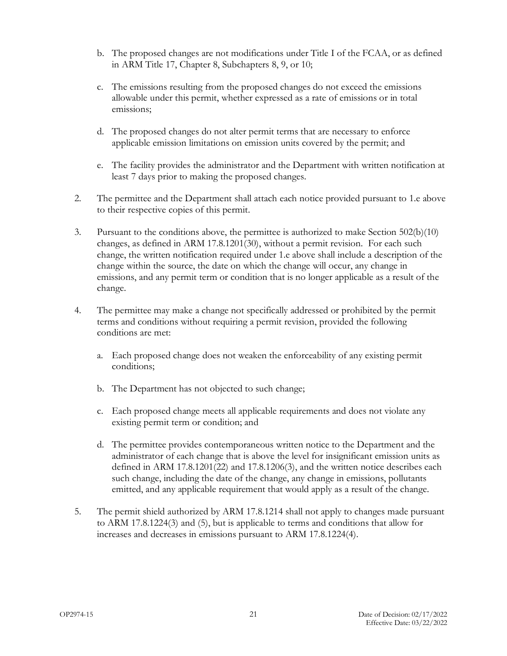- b. The proposed changes are not modifications under Title I of the FCAA, or as defined in ARM Title 17, Chapter 8, Subchapters 8, 9, or 10;
- c. The emissions resulting from the proposed changes do not exceed the emissions allowable under this permit, whether expressed as a rate of emissions or in total emissions;
- d. The proposed changes do not alter permit terms that are necessary to enforce applicable emission limitations on emission units covered by the permit; and
- e. The facility provides the administrator and the Department with written notification at least 7 days prior to making the proposed changes.
- 2. The permittee and the Department shall attach each notice provided pursuant to 1.e above to their respective copies of this permit.
- 3. Pursuant to the conditions above, the permittee is authorized to make Section 502(b)(10) changes, as defined in ARM 17.8.1201(30), without a permit revision. For each such change, the written notification required under 1.e above shall include a description of the change within the source, the date on which the change will occur, any change in emissions, and any permit term or condition that is no longer applicable as a result of the change.
- 4. The permittee may make a change not specifically addressed or prohibited by the permit terms and conditions without requiring a permit revision, provided the following conditions are met:
	- a. Each proposed change does not weaken the enforceability of any existing permit conditions;
	- b. The Department has not objected to such change;
	- c. Each proposed change meets all applicable requirements and does not violate any existing permit term or condition; and
	- d. The permittee provides contemporaneous written notice to the Department and the administrator of each change that is above the level for insignificant emission units as defined in ARM 17.8.1201(22) and 17.8.1206(3), and the written notice describes each such change, including the date of the change, any change in emissions, pollutants emitted, and any applicable requirement that would apply as a result of the change.
- 5. The permit shield authorized by ARM 17.8.1214 shall not apply to changes made pursuant to ARM 17.8.1224(3) and (5), but is applicable to terms and conditions that allow for increases and decreases in emissions pursuant to ARM 17.8.1224(4).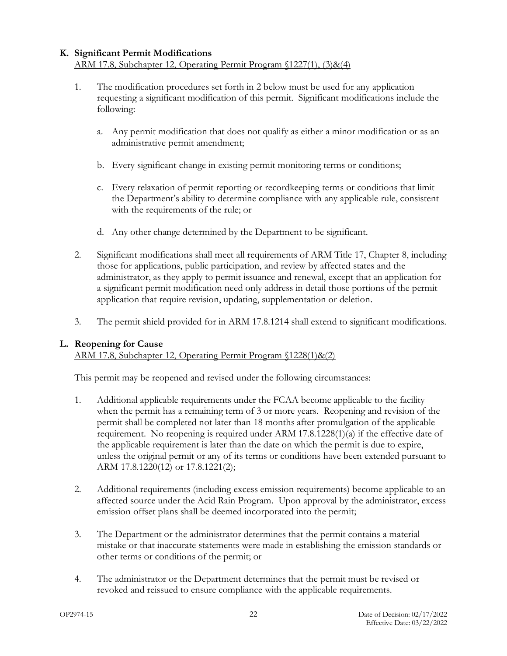# <span id="page-24-0"></span>**K. Significant Permit Modifications**

## ARM 17.8, Subchapter 12, Operating Permit Program §1227(1), (3)&(4)

- 1. The modification procedures set forth in 2 below must be used for any application requesting a significant modification of this permit. Significant modifications include the following:
	- a. Any permit modification that does not qualify as either a minor modification or as an administrative permit amendment;
	- b. Every significant change in existing permit monitoring terms or conditions;
	- c. Every relaxation of permit reporting or recordkeeping terms or conditions that limit the Department's ability to determine compliance with any applicable rule, consistent with the requirements of the rule; or
	- d. Any other change determined by the Department to be significant.
- 2. Significant modifications shall meet all requirements of ARM Title 17, Chapter 8, including those for applications, public participation, and review by affected states and the administrator, as they apply to permit issuance and renewal, except that an application for a significant permit modification need only address in detail those portions of the permit application that require revision, updating, supplementation or deletion.
- 3. The permit shield provided for in ARM 17.8.1214 shall extend to significant modifications.

#### **L. Reopening for Cause**

ARM 17.8, Subchapter 12, Operating Permit Program §1228(1)&(2)

This permit may be reopened and revised under the following circumstances:

- 1. Additional applicable requirements under the FCAA become applicable to the facility when the permit has a remaining term of 3 or more years. Reopening and revision of the permit shall be completed not later than 18 months after promulgation of the applicable requirement. No reopening is required under ARM 17.8.1228(1)(a) if the effective date of the applicable requirement is later than the date on which the permit is due to expire, unless the original permit or any of its terms or conditions have been extended pursuant to ARM 17.8.1220(12) or 17.8.1221(2);
- 2. Additional requirements (including excess emission requirements) become applicable to an affected source under the Acid Rain Program. Upon approval by the administrator, excess emission offset plans shall be deemed incorporated into the permit;
- 3. The Department or the administrator determines that the permit contains a material mistake or that inaccurate statements were made in establishing the emission standards or other terms or conditions of the permit; or
- 4. The administrator or the Department determines that the permit must be revised or revoked and reissued to ensure compliance with the applicable requirements.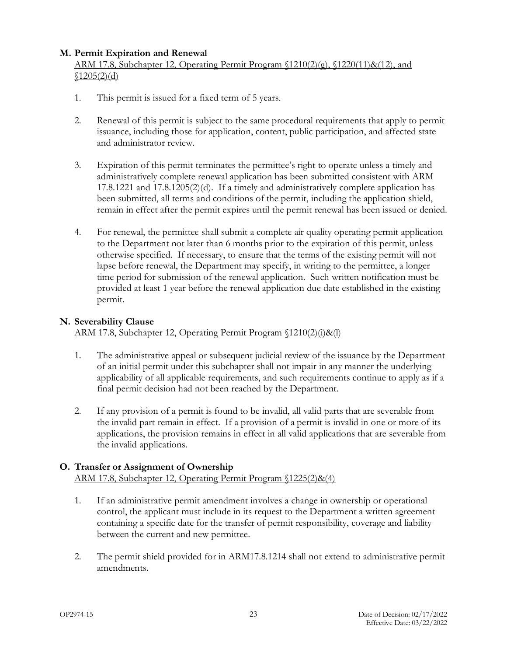#### **M. Permit Expiration and Renewal**

#### ARM 17.8, Subchapter 12, Operating Permit Program §1210(2)(g), §1220(11)&(12), and  $$1205(2)(d)$

- 1. This permit is issued for a fixed term of 5 years.
- 2. Renewal of this permit is subject to the same procedural requirements that apply to permit issuance, including those for application, content, public participation, and affected state and administrator review.
- 3. Expiration of this permit terminates the permittee's right to operate unless a timely and administratively complete renewal application has been submitted consistent with ARM  $17.8.1221$  and  $17.8.1205(2)(d)$ . If a timely and administratively complete application has been submitted, all terms and conditions of the permit, including the application shield, remain in effect after the permit expires until the permit renewal has been issued or denied.
- 4. For renewal, the permittee shall submit a complete air quality operating permit application to the Department not later than 6 months prior to the expiration of this permit, unless otherwise specified. If necessary, to ensure that the terms of the existing permit will not lapse before renewal, the Department may specify, in writing to the permittee, a longer time period for submission of the renewal application. Such written notification must be provided at least 1 year before the renewal application due date established in the existing permit.

#### **N. Severability Clause**

ARM 17.8, Subchapter 12, Operating Permit Program §1210(2)(i)&(l)

- 1. The administrative appeal or subsequent judicial review of the issuance by the Department of an initial permit under this subchapter shall not impair in any manner the underlying applicability of all applicable requirements, and such requirements continue to apply as if a final permit decision had not been reached by the Department.
- 2. If any provision of a permit is found to be invalid, all valid parts that are severable from the invalid part remain in effect. If a provision of a permit is invalid in one or more of its applications, the provision remains in effect in all valid applications that are severable from the invalid applications.

#### <span id="page-25-0"></span>**O. Transfer or Assignment of Ownership**

ARM 17.8, Subchapter 12, Operating Permit Program §1225(2)&(4)

- 1. If an administrative permit amendment involves a change in ownership or operational control, the applicant must include in its request to the Department a written agreement containing a specific date for the transfer of permit responsibility, coverage and liability between the current and new permittee.
- 2. The permit shield provided for in ARM17.8.1214 shall not extend to administrative permit amendments.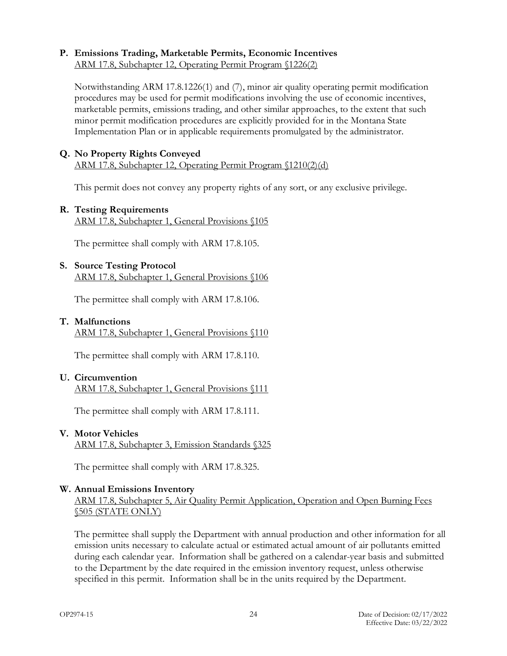#### **P. Emissions Trading, Marketable Permits, Economic Incentives** ARM 17.8, Subchapter 12, Operating Permit Program §1226(2)

Notwithstanding ARM 17.8.1226(1) and (7), minor air quality operating permit modification procedures may be used for permit modifications involving the use of economic incentives, marketable permits, emissions trading, and other similar approaches, to the extent that such minor permit modification procedures are explicitly provided for in the Montana State Implementation Plan or in applicable requirements promulgated by the administrator.

## **Q. No Property Rights Conveyed**

ARM 17.8, Subchapter 12, Operating Permit Program §1210(2)(d)

This permit does not convey any property rights of any sort, or any exclusive privilege.

#### **R. Testing Requirements**

ARM 17.8, Subchapter 1, General Provisions §105

The permittee shall comply with ARM 17.8.105.

#### **S. Source Testing Protocol**

ARM 17.8, Subchapter 1, General Provisions §106

The permittee shall comply with ARM 17.8.106.

#### **T. Malfunctions**

ARM 17.8, Subchapter 1, General Provisions §110

The permittee shall comply with ARM 17.8.110.

#### **U. Circumvention**

ARM 17.8, Subchapter 1, General Provisions §111

The permittee shall comply with ARM 17.8.111.

#### **V. Motor Vehicles** ARM 17.8, Subchapter 3, Emission Standards §325

The permittee shall comply with ARM 17.8.325.

#### **W. Annual Emissions Inventory**

ARM 17.8, Subchapter 5, Air Quality Permit Application, Operation and Open Burning Fees §505 (STATE ONLY)

The permittee shall supply the Department with annual production and other information for all emission units necessary to calculate actual or estimated actual amount of air pollutants emitted during each calendar year. Information shall be gathered on a calendar-year basis and submitted to the Department by the date required in the emission inventory request, unless otherwise specified in this permit. Information shall be in the units required by the Department.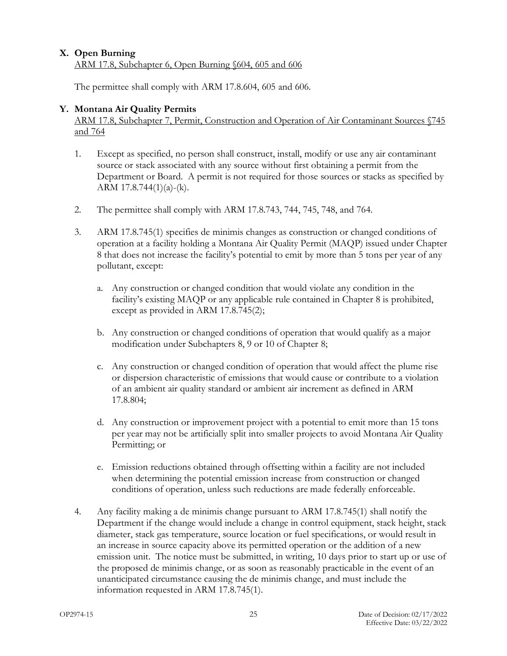#### **X. Open Burning** ARM 17.8, Subchapter 6, Open Burning §604, 605 and 606

The permittee shall comply with ARM 17.8.604, 605 and 606.

#### **Y. Montana Air Quality Permits**

ARM 17.8, Subchapter 7, Permit, Construction and Operation of Air Contaminant Sources §745 and 764

- 1. Except as specified, no person shall construct, install, modify or use any air contaminant source or stack associated with any source without first obtaining a permit from the Department or Board. A permit is not required for those sources or stacks as specified by ARM  $17.8.744(1)(a)-(k)$ .
- 2. The permittee shall comply with ARM 17.8.743, 744, 745, 748, and 764.
- 3. ARM 17.8.745(1) specifies de minimis changes as construction or changed conditions of operation at a facility holding a Montana Air Quality Permit (MAQP) issued under Chapter 8 that does not increase the facility's potential to emit by more than 5 tons per year of any pollutant, except:
	- a. Any construction or changed condition that would violate any condition in the facility's existing MAQP or any applicable rule contained in Chapter 8 is prohibited, except as provided in ARM 17.8.745(2);
	- b. Any construction or changed conditions of operation that would qualify as a major modification under Subchapters 8, 9 or 10 of Chapter 8;
	- c. Any construction or changed condition of operation that would affect the plume rise or dispersion characteristic of emissions that would cause or contribute to a violation of an ambient air quality standard or ambient air increment as defined in ARM 17.8.804;
	- d. Any construction or improvement project with a potential to emit more than 15 tons per year may not be artificially split into smaller projects to avoid Montana Air Quality Permitting; or
	- e. Emission reductions obtained through offsetting within a facility are not included when determining the potential emission increase from construction or changed conditions of operation, unless such reductions are made federally enforceable.
- 4. Any facility making a de minimis change pursuant to ARM 17.8.745(1) shall notify the Department if the change would include a change in control equipment, stack height, stack diameter, stack gas temperature, source location or fuel specifications, or would result in an increase in source capacity above its permitted operation or the addition of a new emission unit. The notice must be submitted, in writing, 10 days prior to start up or use of the proposed de minimis change, or as soon as reasonably practicable in the event of an unanticipated circumstance causing the de minimis change, and must include the information requested in ARM 17.8.745(1).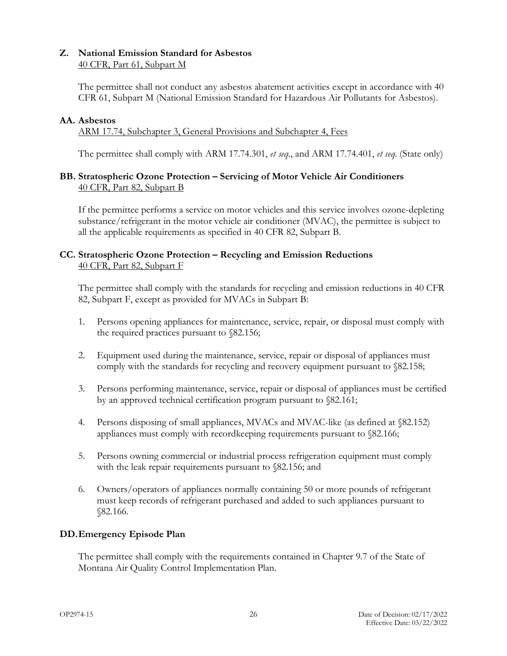#### **Z. National Emission Standard for Asbestos** 40 CFR, Part 61, Subpart M

The permittee shall not conduct any asbestos abatement activities except in accordance with 40 CFR 61, Subpart M (National Emission Standard for Hazardous Air Pollutants for Asbestos).

#### **AA. Asbestos**

ARM 17.74, Subchapter 3, General Provisions and Subchapter 4, Fees

The permittee shall comply with ARM 17.74.301, *et seq.*, and ARM 17.74.401, *et seq*. (State only)

#### **BB. Stratospheric Ozone Protection – Servicing of Motor Vehicle Air Conditioners** 40 CFR, Part 82, Subpart B

If the permittee performs a service on motor vehicles and this service involves ozone-depleting substance/refrigerant in the motor vehicle air conditioner (MVAC), the permittee is subject to all the applicable requirements as specified in 40 CFR 82, Subpart B.

#### **CC. Stratospheric Ozone Protection – Recycling and Emission Reductions** 40 CFR, Part 82, Subpart F

The permittee shall comply with the standards for recycling and emission reductions in 40 CFR 82, Subpart F, except as provided for MVACs in Subpart B:

- 1. Persons opening appliances for maintenance, service, repair, or disposal must comply with the required practices pursuant to §82.156;
- 2. Equipment used during the maintenance, service, repair or disposal of appliances must comply with the standards for recycling and recovery equipment pursuant to §82.158;
- 3. Persons performing maintenance, service, repair or disposal of appliances must be certified by an approved technical certification program pursuant to §82.161;
- 4. Persons disposing of small appliances, MVACs and MVAC-like (as defined at §82.152) appliances must comply with recordkeeping requirements pursuant to §82.166;
- 5. Persons owning commercial or industrial process refrigeration equipment must comply with the leak repair requirements pursuant to  $82.156$ ; and
- 6. Owners/operators of appliances normally containing 50 or more pounds of refrigerant must keep records of refrigerant purchased and added to such appliances pursuant to §82.166.

#### **DD.Emergency Episode Plan**

The permittee shall comply with the requirements contained in Chapter 9.7 of the State of Montana Air Quality Control Implementation Plan.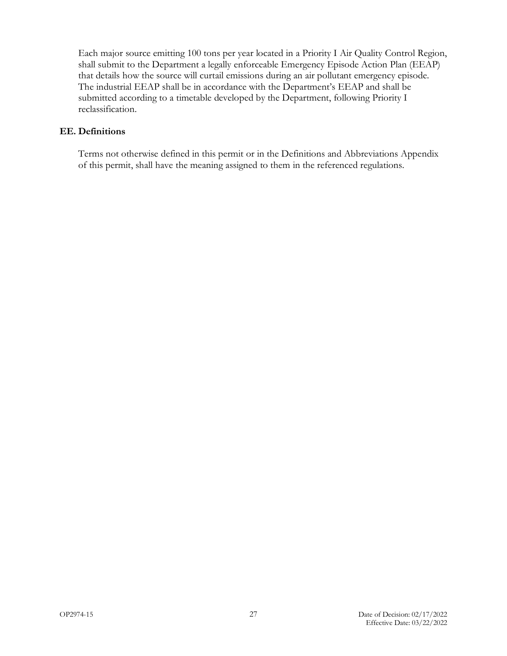Each major source emitting 100 tons per year located in a Priority I Air Quality Control Region, shall submit to the Department a legally enforceable Emergency Episode Action Plan (EEAP) that details how the source will curtail emissions during an air pollutant emergency episode. The industrial EEAP shall be in accordance with the Department's EEAP and shall be submitted according to a timetable developed by the Department, following Priority I reclassification.

#### **EE. Definitions**

Terms not otherwise defined in this permit or in the Definitions and Abbreviations Appendix of this permit, shall have the meaning assigned to them in the referenced regulations.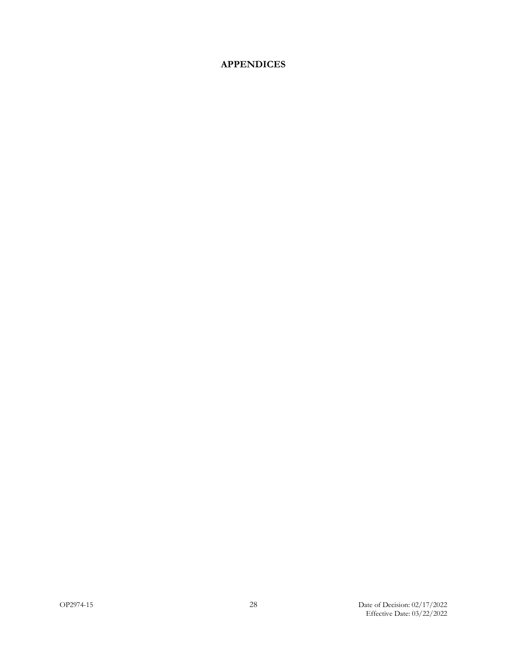## **APPENDICES**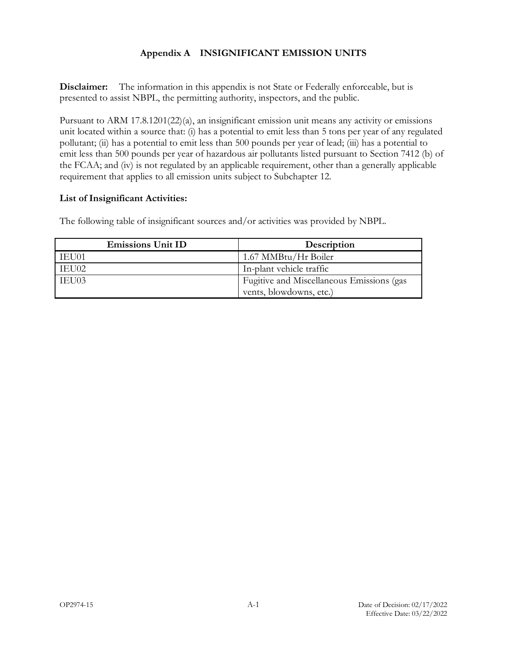#### **Appendix A INSIGNIFICANT EMISSION UNITS**

**Disclaimer:** The information in this appendix is not State or Federally enforceable, but is presented to assist NBPL, the permitting authority, inspectors, and the public.

Pursuant to ARM 17.8.1201(22)(a), an insignificant emission unit means any activity or emissions unit located within a source that: (i) has a potential to emit less than 5 tons per year of any regulated pollutant; (ii) has a potential to emit less than 500 pounds per year of lead; (iii) has a potential to emit less than 500 pounds per year of hazardous air pollutants listed pursuant to Section 7412 (b) of the FCAA; and (iv) is not regulated by an applicable requirement, other than a generally applicable requirement that applies to all emission units subject to Subchapter 12.

#### **List of Insignificant Activities:**

The following table of insignificant sources and/or activities was provided by NBPL.

| <b>Emissions Unit ID</b> | Description                               |
|--------------------------|-------------------------------------------|
| IEU01                    | 1.67 MMBtu/Hr Boiler                      |
| IEU02                    | In-plant vehicle traffic                  |
| IEU03                    | Fugitive and Miscellaneous Emissions (gas |
|                          | vents, blowdowns, etc.)                   |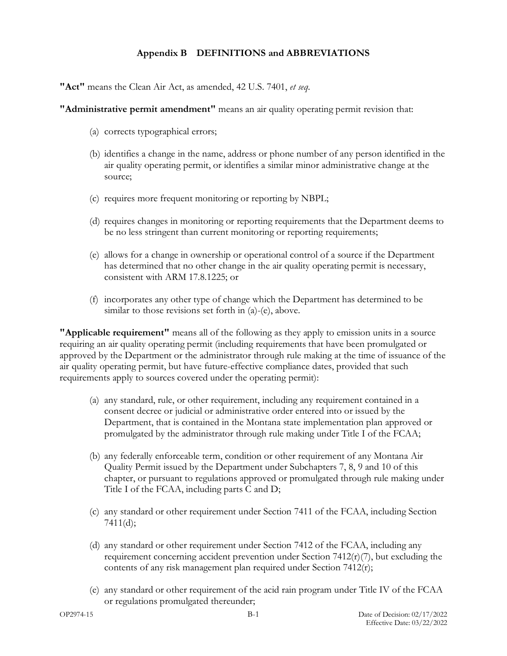#### **Appendix B DEFINITIONS and ABBREVIATIONS**

**"Act"** means the Clean Air Act, as amended, 42 U.S. 7401, *et seq*.

**"Administrative permit amendment"** means an air quality operating permit revision that:

- (a) corrects typographical errors;
- (b) identifies a change in the name, address or phone number of any person identified in the air quality operating permit, or identifies a similar minor administrative change at the source;
- (c) requires more frequent monitoring or reporting by NBPL;
- (d) requires changes in monitoring or reporting requirements that the Department deems to be no less stringent than current monitoring or reporting requirements;
- (e) allows for a change in ownership or operational control of a source if the Department has determined that no other change in the air quality operating permit is necessary, consistent with ARM 17.8.1225; or
- (f) incorporates any other type of change which the Department has determined to be similar to those revisions set forth in (a)-(e), above.

**"Applicable requirement"** means all of the following as they apply to emission units in a source requiring an air quality operating permit (including requirements that have been promulgated or approved by the Department or the administrator through rule making at the time of issuance of the air quality operating permit, but have future-effective compliance dates, provided that such requirements apply to sources covered under the operating permit):

- (a) any standard, rule, or other requirement, including any requirement contained in a consent decree or judicial or administrative order entered into or issued by the Department, that is contained in the Montana state implementation plan approved or promulgated by the administrator through rule making under Title I of the FCAA;
- (b) any federally enforceable term, condition or other requirement of any Montana Air Quality Permit issued by the Department under Subchapters 7, 8, 9 and 10 of this chapter, or pursuant to regulations approved or promulgated through rule making under Title I of the FCAA, including parts C and D;
- (c) any standard or other requirement under Section 7411 of the FCAA, including Section 7411(d);
- (d) any standard or other requirement under Section 7412 of the FCAA, including any requirement concerning accident prevention under Section 7412(r)(7), but excluding the contents of any risk management plan required under Section 7412(r);
- (e) any standard or other requirement of the acid rain program under Title IV of the FCAA or regulations promulgated thereunder;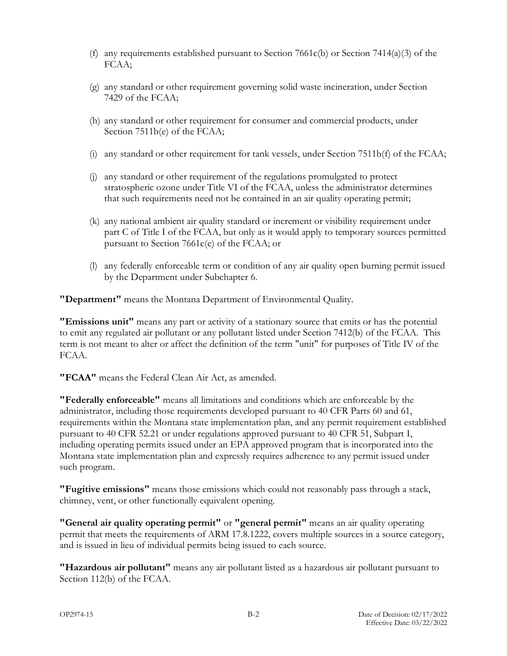- (f) any requirements established pursuant to Section 7661c(b) or Section 7414(a)(3) of the FCAA;
- (g) any standard or other requirement governing solid waste incineration, under Section 7429 of the FCAA;
- (h) any standard or other requirement for consumer and commercial products, under Section 7511b(e) of the FCAA;
- (i) any standard or other requirement for tank vessels, under Section 7511b(f) of the FCAA;
- (j) any standard or other requirement of the regulations promulgated to protect stratospheric ozone under Title VI of the FCAA, unless the administrator determines that such requirements need not be contained in an air quality operating permit;
- (k) any national ambient air quality standard or increment or visibility requirement under part C of Title I of the FCAA, but only as it would apply to temporary sources permitted pursuant to Section 7661c(e) of the FCAA; or
- (l) any federally enforceable term or condition of any air quality open burning permit issued by the Department under Subchapter 6.

**"Department"** means the Montana Department of Environmental Quality.

**"Emissions unit"** means any part or activity of a stationary source that emits or has the potential to emit any regulated air pollutant or any pollutant listed under Section 7412(b) of the FCAA. This term is not meant to alter or affect the definition of the term "unit" for purposes of Title IV of the FCAA.

**"FCAA"** means the Federal Clean Air Act, as amended.

**"Federally enforceable"** means all limitations and conditions which are enforceable by the administrator, including those requirements developed pursuant to 40 CFR Parts 60 and 61, requirements within the Montana state implementation plan, and any permit requirement established pursuant to 40 CFR 52.21 or under regulations approved pursuant to 40 CFR 51, Subpart I, including operating permits issued under an EPA approved program that is incorporated into the Montana state implementation plan and expressly requires adherence to any permit issued under such program.

**"Fugitive emissions"** means those emissions which could not reasonably pass through a stack, chimney, vent, or other functionally equivalent opening.

**"General air quality operating permit"** or **"general permit"** means an air quality operating permit that meets the requirements of ARM 17.8.1222, covers multiple sources in a source category, and is issued in lieu of individual permits being issued to each source.

**"Hazardous air pollutant"** means any air pollutant listed as a hazardous air pollutant pursuant to Section 112(b) of the FCAA.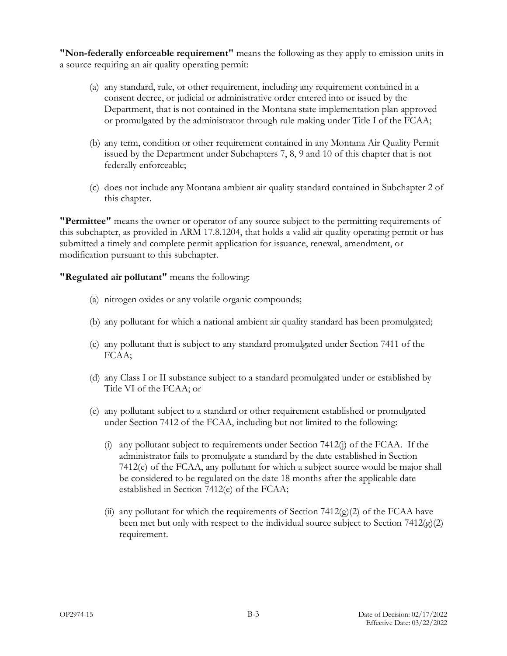**"Non-federally enforceable requirement"** means the following as they apply to emission units in a source requiring an air quality operating permit:

- (a) any standard, rule, or other requirement, including any requirement contained in a consent decree, or judicial or administrative order entered into or issued by the Department, that is not contained in the Montana state implementation plan approved or promulgated by the administrator through rule making under Title I of the FCAA;
- (b) any term, condition or other requirement contained in any Montana Air Quality Permit issued by the Department under Subchapters 7, 8, 9 and 10 of this chapter that is not federally enforceable;
- (c) does not include any Montana ambient air quality standard contained in Subchapter 2 of this chapter.

**"Permittee"** means the owner or operator of any source subject to the permitting requirements of this subchapter, as provided in ARM 17.8.1204, that holds a valid air quality operating permit or has submitted a timely and complete permit application for issuance, renewal, amendment, or modification pursuant to this subchapter.

**"Regulated air pollutant"** means the following:

- (a) nitrogen oxides or any volatile organic compounds;
- (b) any pollutant for which a national ambient air quality standard has been promulgated;
- (c) any pollutant that is subject to any standard promulgated under Section 7411 of the FCAA;
- (d) any Class I or II substance subject to a standard promulgated under or established by Title VI of the FCAA; or
- (e) any pollutant subject to a standard or other requirement established or promulgated under Section 7412 of the FCAA, including but not limited to the following:
	- (i) any pollutant subject to requirements under Section  $7412(j)$  of the FCAA. If the administrator fails to promulgate a standard by the date established in Section 7412(e) of the FCAA, any pollutant for which a subject source would be major shall be considered to be regulated on the date 18 months after the applicable date established in Section 7412(e) of the FCAA;
	- (ii) any pollutant for which the requirements of Section  $7412(g)(2)$  of the FCAA have been met but only with respect to the individual source subject to Section  $7412(g)(2)$ requirement.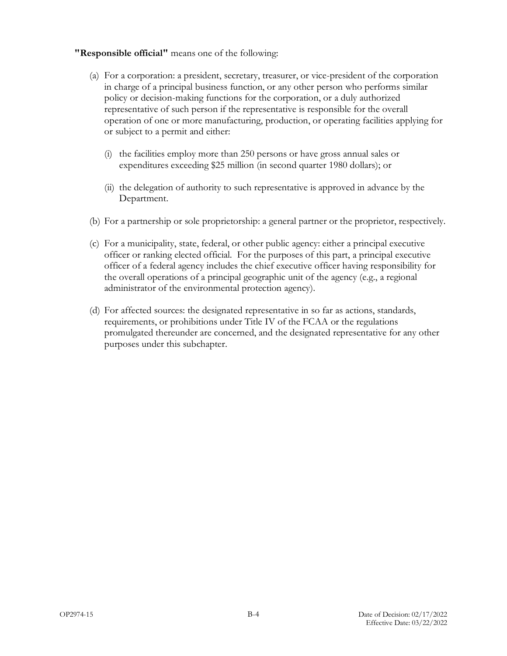#### **"Responsible official"** means one of the following:

- (a) For a corporation: a president, secretary, treasurer, or vice-president of the corporation in charge of a principal business function, or any other person who performs similar policy or decision-making functions for the corporation, or a duly authorized representative of such person if the representative is responsible for the overall operation of one or more manufacturing, production, or operating facilities applying for or subject to a permit and either:
	- (i) the facilities employ more than 250 persons or have gross annual sales or expenditures exceeding \$25 million (in second quarter 1980 dollars); or
	- (ii) the delegation of authority to such representative is approved in advance by the Department.
- (b) For a partnership or sole proprietorship: a general partner or the proprietor, respectively.
- (c) For a municipality, state, federal, or other public agency: either a principal executive officer or ranking elected official. For the purposes of this part, a principal executive officer of a federal agency includes the chief executive officer having responsibility for the overall operations of a principal geographic unit of the agency (e.g., a regional administrator of the environmental protection agency).
- (d) For affected sources: the designated representative in so far as actions, standards, requirements, or prohibitions under Title IV of the FCAA or the regulations promulgated thereunder are concerned, and the designated representative for any other purposes under this subchapter.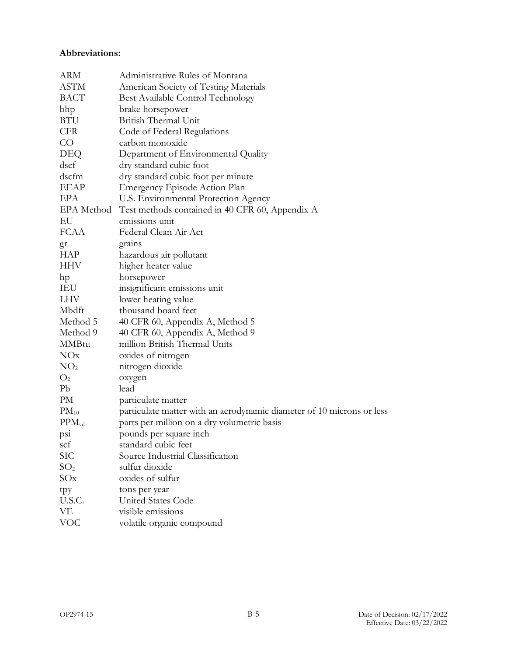#### **Abbreviations:**

| ARM             | Administrative Rules of Montana                                       |
|-----------------|-----------------------------------------------------------------------|
| <b>ASTM</b>     | American Society of Testing Materials                                 |
| <b>BACT</b>     | Best Available Control Technology                                     |
| bhp             | brake horsepower                                                      |
| BTU             | British Thermal Unit                                                  |
| <b>CFR</b>      | Code of Federal Regulations                                           |
| $\rm CO$        | carbon monoxide                                                       |
| DEQ             | Department of Environmental Quality                                   |
| dscf            | dry standard cubic foot                                               |
| dscfm           | dry standard cubic foot per minute                                    |
| <b>EEAP</b>     | Emergency Episode Action Plan                                         |
| EPA             | U.S. Environmental Protection Agency                                  |
| EPA Method      | Test methods contained in 40 CFR 60, Appendix A                       |
| EU              | emissions unit                                                        |
| <b>FCAA</b>     | Federal Clean Air Act                                                 |
| gr              | grains                                                                |
| <b>HAP</b>      | hazardous air pollutant                                               |
| <b>HHV</b>      | higher heater value                                                   |
| hp              | horsepower                                                            |
| IEU             | insignificant emissions unit                                          |
| LHV             | lower heating value                                                   |
| Mbdft           | thousand board feet                                                   |
| Method 5        | 40 CFR 60, Appendix A, Method 5                                       |
| Method 9        | 40 CFR 60, Appendix A, Method 9                                       |
| <b>MMBtu</b>    | million British Thermal Units                                         |
| NOx             | oxides of nitrogen                                                    |
| NO <sub>2</sub> | nitrogen dioxide                                                      |
| O <sub>2</sub>  | oxygen                                                                |
| Pb              | lead                                                                  |
| PM              | particulate matter                                                    |
| $PM_{10}$       | particulate matter with an aerodynamic diameter of 10 microns or less |
| $PPM_{vd}$      | parts per million on a dry volumetric basis                           |
| psi             | pounds per square inch                                                |
| scf             | standard cubic feet                                                   |
| SІС             | Source Industrial Classification                                      |
| SO <sub>2</sub> | sulfur dioxide                                                        |
| SOx             | oxides of sulfur                                                      |
| tpy             | tons per year                                                         |
| U.S.C.          | <b>United States Code</b>                                             |
| VE              | visible emissions                                                     |
| <b>VOC</b>      | volatile organic compound                                             |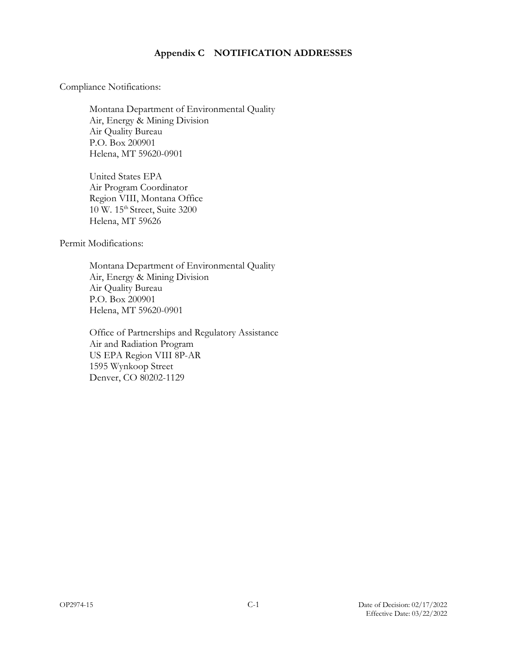#### **Appendix C NOTIFICATION ADDRESSES**

Compliance Notifications:

Montana Department of Environmental Quality Air, Energy & Mining Division Air Quality Bureau P.O. Box 200901 Helena, MT 59620-0901

United States EPA Air Program Coordinator Region VIII, Montana Office 10 W. 15th Street, Suite 3200 Helena, MT 59626

Permit Modifications:

Montana Department of Environmental Quality Air, Energy & Mining Division Air Quality Bureau P.O. Box 200901 Helena, MT 59620-0901

Office of Partnerships and Regulatory Assistance Air and Radiation Program US EPA Region VIII 8P-AR 1595 Wynkoop Street Denver, CO 80202-1129